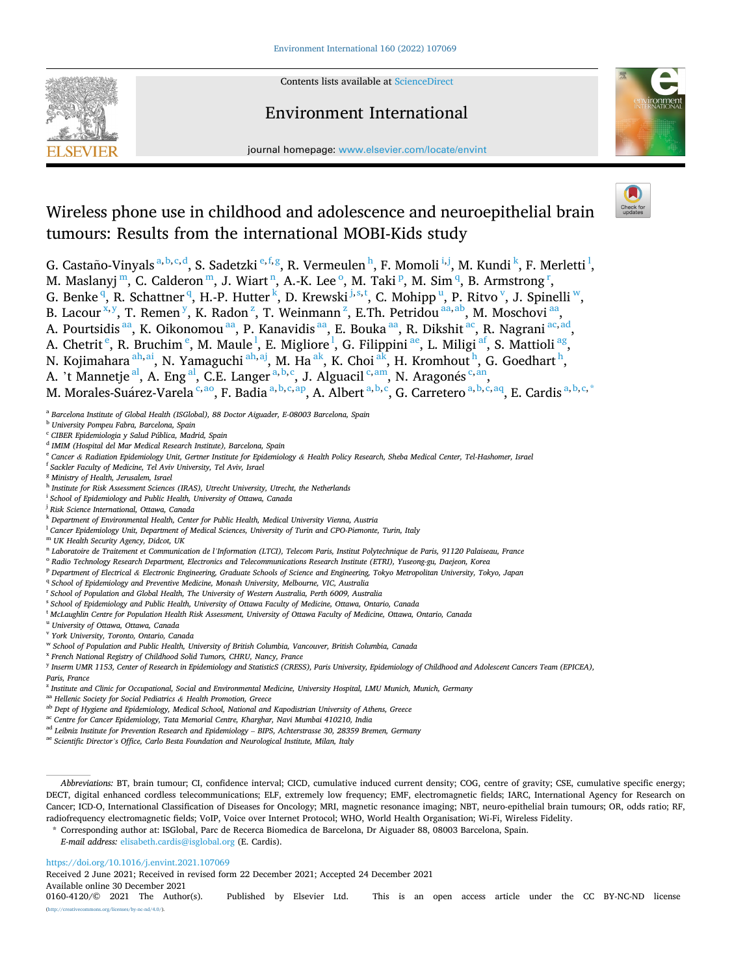

Contents lists available at [ScienceDirect](www.sciencedirect.com/science/journal/01604120)

## Environment International



journal homepage: [www.elsevier.com/locate/envint](https://www.elsevier.com/locate/envint)

# Wireless phone use in childhood and adolescence and neuroepithelial brain tumours: Results from the international MOBI-Kids study

G. Castaño-Vinyals  $a,b,c,d$ , S. Sadetzki  $e,f,g$ , R. Vermeulen  $h$ , F. Momoli  $^{i,j}$ , M. Kundi  $^k$ , F. Merletti  $^l$ ,

M. Maslanyj m, C. Calderon m, J. Wiart n, A.-K. Lee <sup>o</sup>, M. Taki <sup>p</sup>, M. Sim <sup>q</sup>, B. Armstrong <sup>r</sup>,

- G. Benke<sup>q</sup>, R. Schattner<sup>q</sup>, H.-P. Hutter<sup>k</sup>, D. Krewski<sup>j,s,t</sup>, C. Mohipp<sup>u</sup>, P. Ritvo<sup>v</sup>, J. Spinelli<sup>w</sup>,
- B. Lacour<sup>x, y</sup>, T. Remen<sup>y</sup>, K. Radon<sup>z</sup>, T. Weinmann<sup>z</sup>, E.Th. Petridou<sup>aa, ab</sup>, M. Moschovi<sup>aa</sup>,

A. Pourtsidis <sup>aa</sup>, K. Oikonomou <sup>aa</sup>, P. Kanavidis <sup>aa</sup>, E. Bouka <sup>aa</sup>, R. Dikshit <sup>ac</sup>, R. Nagrani <sup>ac, ad</sup>,

A. Chetrit  $\rm^e$ , R. Bruchim  $\rm^e$ , M. Maule  $\rm^l$ , E. Migliore  $\rm^l$ , G. Filippini  $\rm^{ae}$ , L. Miligi  $\rm^{af}$ , S. Mattioli  $\rm^{ag}$ ,

N. Kojimahara <sup>ah, ai</sup>, N. Yamaguchi <sup>ah, aj</sup>, M. Ha <sup>ak</sup>, K. Choi <sup>ak</sup>, H. Kromhout <sup>h</sup>, G. Goedhart <sup>h</sup>,

A. 't Mannetje<sup>al</sup>, A. Eng<sup>al</sup>, C.E. Langer<sup>a, b, c</sup>, J. Alguacil<sup>c, am</sup>, N. Aragonés<sup>c, an</sup>,

M. Morales-Suárez-Varela <sup>c,ao</sup>, F. Badia <sup>a, b, c, ap</sup>, A. Albert <sup>a, b, c</sup>, G. Carretero <sup>a, b, c, aq</sup>, E. Cardis <sup>a, b, c, \*</sup>

- <sup>c</sup> *CIBER Epidemiologia y Salud Pública, Madrid, Spain*
- <sup>d</sup> *IMIM (Hospital del Mar Medical Research Institute), Barcelona, Spain*
- <sup>e</sup> *Cancer & Radiation Epidemiology Unit, Gertner Institute for Epidemiology & Health Policy Research, Sheba Medical Center, Tel-Hashomer, Israel*
- <sup>f</sup> *Sackler Faculty of Medicine, Tel Aviv University, Tel Aviv, Israel*
- <sup>g</sup> *Ministry of Health, Jerusalem, Israel*
- <sup>h</sup> *Institute for Risk Assessment Sciences (IRAS), Utrecht University, Utrecht, the Netherlands*
- <sup>i</sup> *School of Epidemiology and Public Health, University of Ottawa, Canada*
- <sup>j</sup> *Risk Science International, Ottawa, Canada*
- <sup>k</sup> *Department of Environmental Health, Center for Public Health, Medical University Vienna, Austria*
- <sup>l</sup> *Cancer Epidemiology Unit, Department of Medical Sciences, University of Turin and CPO-Piemonte, Turin, Italy*
- <sup>m</sup> *UK Health Security Agency, Didcot, UK*
- <sup>n</sup> *Laboratoire de Traitement et Communication de l'Information (LTCI), Telecom Paris, Institut Polytechnique de Paris, 91120 Palaiseau, France*
- <sup>o</sup> *Radio Technology Research Department, Electronics and Telecommunications Research Institute (ETRI), Yuseong-gu, Daejeon, Korea*
- <sup>p</sup> *Department of Electrical & Electronic Engineering, Graduate Schools of Science and Engineering, Tokyo Metropolitan University, Tokyo, Japan*
- <sup>q</sup> School of Epidemiology and Preventive Medicine, Monash University, Melbourne, VIC, Australia
- <sup>r</sup> *School of Population and Global Health, The University of Western Australia, Perth 6009, Australia*
- <sup>s</sup> *School of Epidemiology and Public Health, University of Ottawa Faculty of Medicine, Ottawa, Ontario, Canada*
- <sup>t</sup> *McLaughlin Centre for Population Health Risk Assessment, University of Ottawa Faculty of Medicine, Ottawa, Ontario, Canada*
- <sup>u</sup> *University of Ottawa, Ottawa, Canada*
- <sup>v</sup> *York University, Toronto, Ontario, Canada*
- <sup>w</sup> *School of Population and Public Health, University of British Columbia, Vancouver, British Columbia, Canada*
- <sup>x</sup> *French National Registry of Childhood Solid Tumors, CHRU, Nancy, France*
- <sup>y</sup> *Inserm UMR 1153, Center of Research in Epidemiology and StatisticS (CRESS), Paris University, Epidemiology of Childhood and Adolescent Cancers Team (EPICEA), Paris, France*
- <sup>z</sup> *Institute and Clinic for Occupational, Social and Environmental Medicine, University Hospital, LMU Munich, Munich, Germany*
- aa *Hellenic Society for Social Pediatrics & Health Promotion, Greece*
- ab *Dept of Hygiene and Epidemiology, Medical School, National and Kapodistrian University of Athens, Greece*
- ac *Centre for Cancer Epidemiology, Tata Memorial Centre, Kharghar, Navi Mumbai 410210, India*
- <sup>ad</sup> Leibniz Institute for Prevention Research and Epidemiology BIPS, Achterstrasse 30, 28359 Bremen, Germany
- ae *Scientific Director's Office, Carlo Besta Foundation and Neurological Institute, Milan, Italy*

- \* Corresponding author at: ISGlobal, Parc de Recerca Biomedica de Barcelona, Dr Aiguader 88, 08003 Barcelona, Spain.
- *E-mail address:* [elisabeth.cardis@isglobal.org](mailto:elisabeth.cardis@isglobal.org) (E. Cardis).

<https://doi.org/10.1016/j.envint.2021.107069>

Received 2 June 2021; Received in revised form 22 December 2021; Accepted 24 December 2021

Available online 30 December 2021<br>0160-4120/© 2021 The Author(s).

<sup>a</sup> *Barcelona Institute of Global Health (ISGlobal), 88 Doctor Aiguader, E-08003 Barcelona, Spain* 

<sup>b</sup> *University Pompeu Fabra, Barcelona, Spain* 

*Abbreviations:* BT, brain tumour; CI, confidence interval; CICD, cumulative induced current density; COG, centre of gravity; CSE, cumulative specific energy; DECT, digital enhanced cordless telecommunications; ELF, extremely low frequency; EMF, electromagnetic fields; IARC, International Agency for Research on Cancer; ICD-O, International Classification of Diseases for Oncology; MRI, magnetic resonance imaging; NBT, neuro-epithelial brain tumours; OR, odds ratio; RF, radiofrequency electromagnetic fields; VoIP, Voice over Internet Protocol; WHO, World Health Organisation; Wi-Fi, Wireless Fidelity.

Published by Elsevier Ltd. This is an open access article under the CC BY-NC-ND license org/licenses/by-nc-nd/4.0/).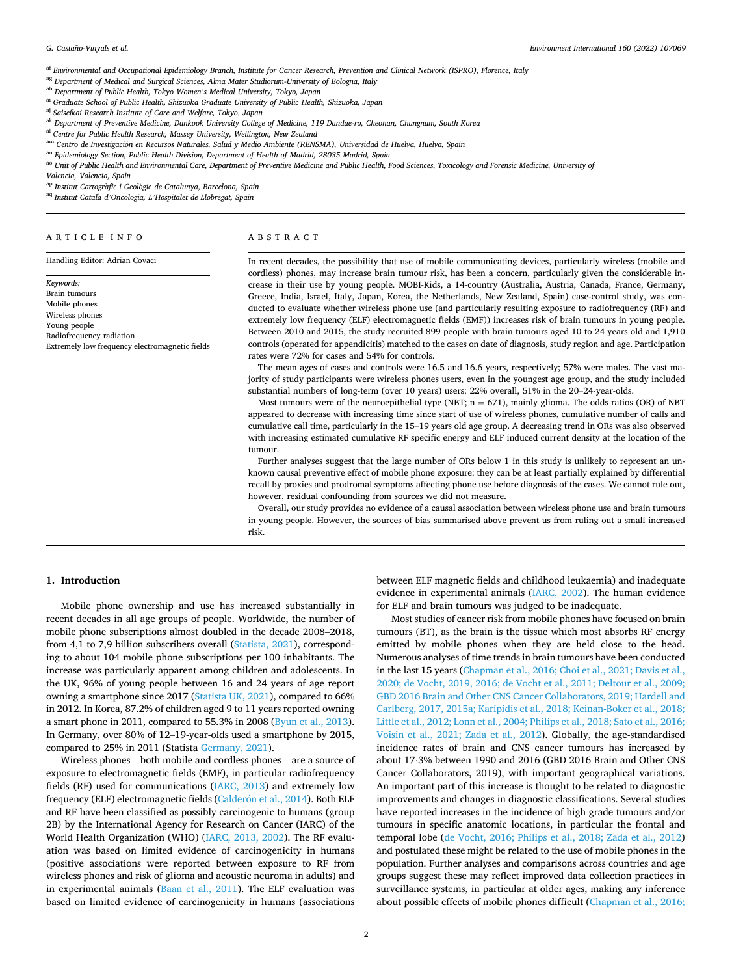<span id="page-1-0"></span>af *Environmental and Occupational Epidemiology Branch, Institute for Cancer Research, Prevention and Clinical Network (ISPRO), Florence, Italy* 

ag *Department of Medical and Surgical Sciences, Alma Mater Studiorum-University of Bologna, Italy* 

ah *Department of Public Health, Tokyo Women's Medical University, Tokyo, Japan* 

ai *Graduate School of Public Health, Shizuoka Graduate University of Public Health, Shizuoka, Japan* 

aj *Saiseikai Research Institute of Care and Welfare, Tokyo, Japan* 

ak *Department of Preventive Medicine, Dankook University College of Medicine, 119 Dandae-ro, Cheonan, Chungnam, South Korea* 

al *Centre for Public Health Research, Massey University, Wellington, New Zealand* 

<sup>am</sup> Centro de Investigación en Recursos Naturales, Salud y Medio Ambiente (RENSMA), Universidad de Huelva, Huelva, Spain

an *Epidemiology Section, Public Health Division, Department of Health of Madrid, 28035 Madrid, Spain* 

ao Unit of Public Health and Environmental Care, Department of Preventive Medicine and Public Health, Food Sciences, Toxicology and Forensic Medicine, University of

*Valencia, Valencia, Spain* 

<sup>ap</sup> Institut Cartogràfic i Geològic de Catalunya, Barcelona, Spain

aq *Institut Catala* ` *d'Oncologia, L'Hospitalet de Llobregat, Spain* 

#### ARTICLE INFO

Handling Editor: Adrian Covaci

*Keywords:*  Brain tumours Mobile phones Wireless phones Young people Radiofrequency radiation Extremely low frequency electromagnetic fields

#### ABSTRACT

In recent decades, the possibility that use of mobile communicating devices, particularly wireless (mobile and cordless) phones, may increase brain tumour risk, has been a concern, particularly given the considerable increase in their use by young people. MOBI-Kids, a 14-country (Australia, Austria, Canada, France, Germany, Greece, India, Israel, Italy, Japan, Korea, the Netherlands, New Zealand, Spain) case-control study, was conducted to evaluate whether wireless phone use (and particularly resulting exposure to radiofrequency (RF) and extremely low frequency (ELF) electromagnetic fields (EMF)) increases risk of brain tumours in young people. Between 2010 and 2015, the study recruited 899 people with brain tumours aged 10 to 24 years old and 1,910 controls (operated for appendicitis) matched to the cases on date of diagnosis, study region and age. Participation rates were 72% for cases and 54% for controls.

The mean ages of cases and controls were 16.5 and 16.6 years, respectively; 57% were males. The vast majority of study participants were wireless phones users, even in the youngest age group, and the study included substantial numbers of long-term (over 10 years) users: 22% overall, 51% in the 20–24-year-olds.

Most tumours were of the neuroepithelial type (NBT;  $n = 671$ ), mainly glioma. The odds ratios (OR) of NBT appeared to decrease with increasing time since start of use of wireless phones, cumulative number of calls and cumulative call time, particularly in the 15–19 years old age group. A decreasing trend in ORs was also observed with increasing estimated cumulative RF specific energy and ELF induced current density at the location of the tumour.

Further analyses suggest that the large number of ORs below 1 in this study is unlikely to represent an unknown causal preventive effect of mobile phone exposure: they can be at least partially explained by differential recall by proxies and prodromal symptoms affecting phone use before diagnosis of the cases. We cannot rule out, however, residual confounding from sources we did not measure.

Overall, our study provides no evidence of a causal association between wireless phone use and brain tumours in young people. However, the sources of bias summarised above prevent us from ruling out a small increased risk.

## **1. Introduction**

Mobile phone ownership and use has increased substantially in recent decades in all age groups of people. Worldwide, the number of mobile phone subscriptions almost doubled in the decade 2008–2018, from 4,1 to 7,9 billion subscribers overall ([Statista, 2021](#page-19-0)), corresponding to about 104 mobile phone subscriptions per 100 inhabitants. The increase was particularly apparent among children and adolescents. In the UK, 96% of young people between 16 and 24 years of age report owning a smartphone since 2017 ([Statista UK, 2021\)](#page-19-0), compared to 66% in 2012. In Korea, 87.2% of children aged 9 to 11 years reported owning a smart phone in 2011, compared to 55.3% in 2008 ([Byun et al., 2013](#page-18-0)). In Germany, over 80% of 12–19-year-olds used a smartphone by 2015, compared to 25% in 2011 (Statista [Germany, 2021](#page-19-0)).

Wireless phones – both mobile and cordless phones – are a source of exposure to electromagnetic fields (EMF), in particular radiofrequency fields (RF) used for communications [\(IARC, 2013\)](#page-18-0) and extremely low frequency (ELF) electromagnetic fields (Calderón [et al., 2014](#page-18-0)). Both ELF and RF have been classified as possibly carcinogenic to humans (group 2B) by the International Agency for Research on Cancer (IARC) of the World Health Organization (WHO) [\(IARC, 2013, 2002](#page-18-0)). The RF evaluation was based on limited evidence of carcinogenicity in humans (positive associations were reported between exposure to RF from wireless phones and risk of glioma and acoustic neuroma in adults) and in experimental animals ([Baan et al., 2011](#page-18-0)). The ELF evaluation was based on limited evidence of carcinogenicity in humans (associations between ELF magnetic fields and childhood leukaemia) and inadequate evidence in experimental animals [\(IARC, 2002\)](#page-18-0). The human evidence for ELF and brain tumours was judged to be inadequate.

Most studies of cancer risk from mobile phones have focused on brain tumours (BT), as the brain is the tissue which most absorbs RF energy emitted by mobile phones when they are held close to the head. Numerous analyses of time trends in brain tumours have been conducted in the last 15 years ([Chapman et al., 2016; Choi et al., 2021; Davis et al.,](#page-18-0)  [2020; de Vocht, 2019, 2016; de Vocht et al., 2011; Deltour et al., 2009;](#page-18-0)  [GBD 2016 Brain and Other CNS Cancer Collaborators, 2019; Hardell and](#page-18-0)  [Carlberg, 2017, 2015a; Karipidis et al., 2018; Keinan-Boker et al., 2018;](#page-18-0)  [Little et al., 2012; Lonn et al., 2004; Philips et al., 2018; Sato et al., 2016;](#page-18-0)  [Voisin et al., 2021; Zada et al., 2012\)](#page-18-0). Globally, the age-standardised incidence rates of brain and CNS cancer tumours has increased by about 17⋅3% between 1990 and 2016 (GBD 2016 Brain and Other CNS Cancer Collaborators, 2019), with important geographical variations. An important part of this increase is thought to be related to diagnostic improvements and changes in diagnostic classifications. Several studies have reported increases in the incidence of high grade tumours and/or tumours in specific anatomic locations, in particular the frontal and temporal lobe ([de Vocht, 2016; Philips et al., 2018; Zada et al., 2012\)](#page-18-0) and postulated these might be related to the use of mobile phones in the population. Further analyses and comparisons across countries and age groups suggest these may reflect improved data collection practices in surveillance systems, in particular at older ages, making any inference about possible effects of mobile phones difficult ([Chapman et al., 2016;](#page-18-0)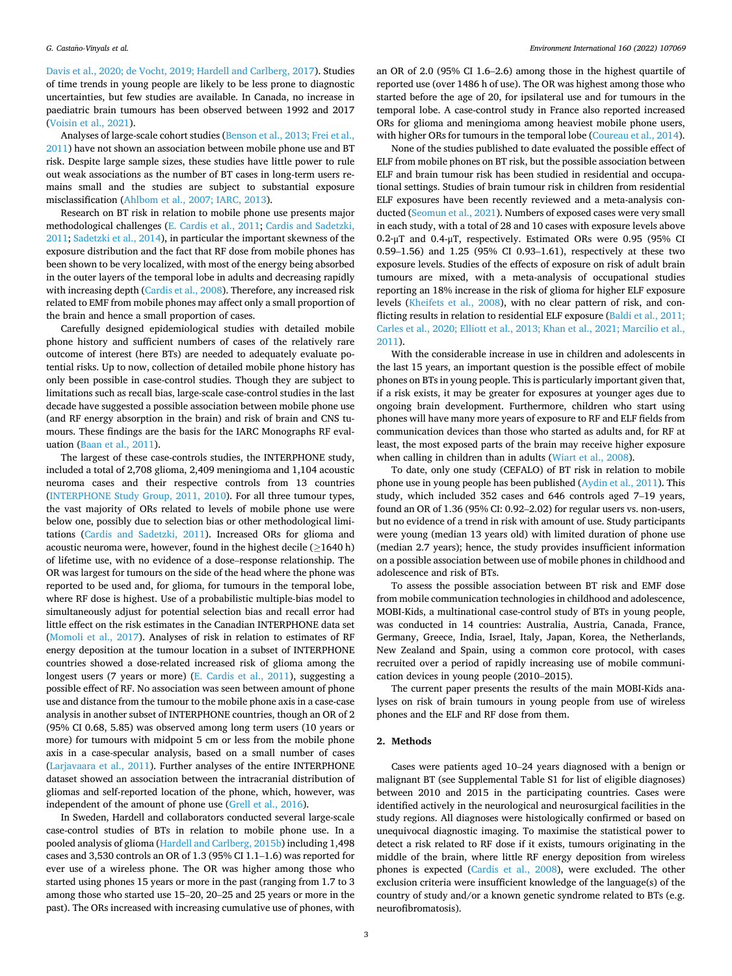[Davis et al., 2020; de Vocht, 2019; Hardell and Carlberg, 2017](#page-18-0)). Studies of time trends in young people are likely to be less prone to diagnostic uncertainties, but few studies are available. In Canada, no increase in paediatric brain tumours has been observed between 1992 and 2017 ([Voisin et al., 2021](#page-19-0)).

Analyses of large-scale cohort studies ([Benson et al., 2013; Frei et al.,](#page-18-0)  [2011\)](#page-18-0) have not shown an association between mobile phone use and BT risk. Despite large sample sizes, these studies have little power to rule out weak associations as the number of BT cases in long-term users remains small and the studies are subject to substantial exposure misclassification [\(Ahlbom et al., 2007; IARC, 2013\)](#page-18-0).

Research on BT risk in relation to mobile phone use presents major methodological challenges ([E. Cardis et al., 2011; Cardis and Sadetzki,](#page-18-0)  [2011;](#page-18-0) [Sadetzki et al., 2014\)](#page-19-0), in particular the important skewness of the exposure distribution and the fact that RF dose from mobile phones has been shown to be very localized, with most of the energy being absorbed in the outer layers of the temporal lobe in adults and decreasing rapidly with increasing depth ([Cardis et al., 2008\)](#page-18-0). Therefore, any increased risk related to EMF from mobile phones may affect only a small proportion of the brain and hence a small proportion of cases.

Carefully designed epidemiological studies with detailed mobile phone history and sufficient numbers of cases of the relatively rare outcome of interest (here BTs) are needed to adequately evaluate potential risks. Up to now, collection of detailed mobile phone history has only been possible in case-control studies. Though they are subject to limitations such as recall bias, large-scale case-control studies in the last decade have suggested a possible association between mobile phone use (and RF energy absorption in the brain) and risk of brain and CNS tumours. These findings are the basis for the IARC Monographs RF evaluation ([Baan et al., 2011\)](#page-18-0).

The largest of these case-controls studies, the INTERPHONE study, included a total of 2,708 glioma, 2,409 meningioma and 1,104 acoustic neuroma cases and their respective controls from 13 countries ([INTERPHONE Study Group, 2011, 2010](#page-18-0)). For all three tumour types, the vast majority of ORs related to levels of mobile phone use were below one, possibly due to selection bias or other methodological limitations ([Cardis and Sadetzki, 2011\)](#page-18-0). Increased ORs for glioma and acoustic neuroma were, however, found in the highest decile ( $\geq$ 1640 h) of lifetime use, with no evidence of a dose–response relationship. The OR was largest for tumours on the side of the head where the phone was reported to be used and, for glioma, for tumours in the temporal lobe, where RF dose is highest. Use of a probabilistic multiple-bias model to simultaneously adjust for potential selection bias and recall error had little effect on the risk estimates in the Canadian INTERPHONE data set ([Momoli et al., 2017\)](#page-19-0). Analyses of risk in relation to estimates of RF energy deposition at the tumour location in a subset of INTERPHONE countries showed a dose-related increased risk of glioma among the longest users (7 years or more) [\(E. Cardis et al., 2011\)](#page-18-0), suggesting a possible effect of RF. No association was seen between amount of phone use and distance from the tumour to the mobile phone axis in a case-case analysis in another subset of INTERPHONE countries, though an OR of 2 (95% CI 0.68, 5.85) was observed among long term users (10 years or more) for tumours with midpoint 5 cm or less from the mobile phone axis in a case-specular analysis, based on a small number of cases ([Larjavaara et al., 2011\)](#page-19-0). Further analyses of the entire INTERPHONE dataset showed an association between the intracranial distribution of gliomas and self-reported location of the phone, which, however, was independent of the amount of phone use ([Grell et al., 2016\)](#page-18-0).

In Sweden, Hardell and collaborators conducted several large-scale case-control studies of BTs in relation to mobile phone use. In a pooled analysis of glioma [\(Hardell and Carlberg, 2015b](#page-18-0)) including 1,498 cases and 3,530 controls an OR of 1.3 (95% CI 1.1–1.6) was reported for ever use of a wireless phone. The OR was higher among those who started using phones 15 years or more in the past (ranging from 1.7 to 3 among those who started use 15–20, 20–25 and 25 years or more in the past). The ORs increased with increasing cumulative use of phones, with

an OR of 2.0 (95% CI 1.6–2.6) among those in the highest quartile of reported use (over 1486 h of use). The OR was highest among those who started before the age of 20, for ipsilateral use and for tumours in the temporal lobe. A case-control study in France also reported increased ORs for glioma and meningioma among heaviest mobile phone users, with higher ORs for tumours in the temporal lobe [\(Coureau et al., 2014](#page-18-0)).

None of the studies published to date evaluated the possible effect of ELF from mobile phones on BT risk, but the possible association between ELF and brain tumour risk has been studied in residential and occupational settings. Studies of brain tumour risk in children from residential ELF exposures have been recently reviewed and a meta-analysis conducted [\(Seomun et al., 2021](#page-19-0)). Numbers of exposed cases were very small in each study, with a total of 28 and 10 cases with exposure levels above 0.2-μT and 0.4-μT, respectively. Estimated ORs were 0.95 (95% CI 0.59–1.56) and 1.25 (95% CI 0.93–1.61), respectively at these two exposure levels. Studies of the effects of exposure on risk of adult brain tumours are mixed, with a meta-analysis of occupational studies reporting an 18% increase in the risk of glioma for higher ELF exposure levels [\(Kheifets et al., 2008](#page-18-0)), with no clear pattern of risk, and conflicting results in relation to residential ELF exposure [\(Baldi et al., 2011;](#page-18-0)  [Carles et al., 2020; Elliott et al., 2013; Khan et al., 2021; Marcilio et al.,](#page-18-0)  [2011\)](#page-18-0).

With the considerable increase in use in children and adolescents in the last 15 years, an important question is the possible effect of mobile phones on BTs in young people. This is particularly important given that, if a risk exists, it may be greater for exposures at younger ages due to ongoing brain development. Furthermore, children who start using phones will have many more years of exposure to RF and ELF fields from communication devices than those who started as adults and, for RF at least, the most exposed parts of the brain may receive higher exposure when calling in children than in adults [\(Wiart et al., 2008\)](#page-19-0).

To date, only one study (CEFALO) of BT risk in relation to mobile phone use in young people has been published [\(Aydin et al., 2011\)](#page-18-0). This study, which included 352 cases and 646 controls aged 7–19 years, found an OR of 1.36 (95% CI: 0.92–2.02) for regular users vs. non-users, but no evidence of a trend in risk with amount of use. Study participants were young (median 13 years old) with limited duration of phone use (median 2.7 years); hence, the study provides insufficient information on a possible association between use of mobile phones in childhood and adolescence and risk of BTs.

To assess the possible association between BT risk and EMF dose from mobile communication technologies in childhood and adolescence, MOBI-Kids, a multinational case-control study of BTs in young people, was conducted in 14 countries: Australia, Austria, Canada, France, Germany, Greece, India, Israel, Italy, Japan, Korea, the Netherlands, New Zealand and Spain, using a common core protocol, with cases recruited over a period of rapidly increasing use of mobile communication devices in young people (2010–2015).

The current paper presents the results of the main MOBI-Kids analyses on risk of brain tumours in young people from use of wireless phones and the ELF and RF dose from them.

#### **2. Methods**

Cases were patients aged 10–24 years diagnosed with a benign or malignant BT (see Supplemental Table S1 for list of eligible diagnoses) between 2010 and 2015 in the participating countries. Cases were identified actively in the neurological and neurosurgical facilities in the study regions. All diagnoses were histologically confirmed or based on unequivocal diagnostic imaging. To maximise the statistical power to detect a risk related to RF dose if it exists, tumours originating in the middle of the brain, where little RF energy deposition from wireless phones is expected ([Cardis et al., 2008](#page-18-0)), were excluded. The other exclusion criteria were insufficient knowledge of the language(s) of the country of study and/or a known genetic syndrome related to BTs (e.g. neurofibromatosis).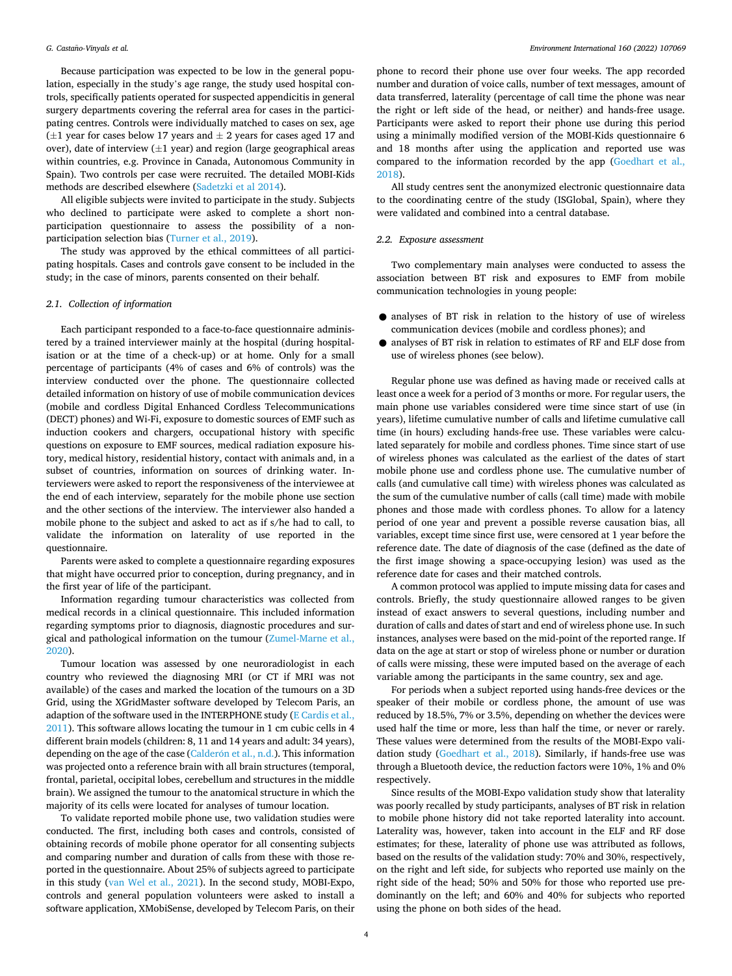Because participation was expected to be low in the general population, especially in the study's age range, the study used hospital controls, specifically patients operated for suspected appendicitis in general surgery departments covering the referral area for cases in the participating centres. Controls were individually matched to cases on sex, age  $(\pm 1$  year for cases below 17 years and  $\pm$  2 years for cases aged 17 and over), date of interview  $(\pm 1$  year) and region (large geographical areas within countries, e.g. Province in Canada, Autonomous Community in Spain). Two controls per case were recruited. The detailed MOBI-Kids methods are described elsewhere ([Sadetzki et al 2014\)](#page-19-0).

All eligible subjects were invited to participate in the study. Subjects who declined to participate were asked to complete a short nonparticipation questionnaire to assess the possibility of a nonparticipation selection bias [\(Turner et al., 2019\)](#page-19-0).

The study was approved by the ethical committees of all participating hospitals. Cases and controls gave consent to be included in the study; in the case of minors, parents consented on their behalf.

## *2.1. Collection of information*

Each participant responded to a face-to-face questionnaire administered by a trained interviewer mainly at the hospital (during hospitalisation or at the time of a check-up) or at home. Only for a small percentage of participants (4% of cases and 6% of controls) was the interview conducted over the phone. The questionnaire collected detailed information on history of use of mobile communication devices (mobile and cordless Digital Enhanced Cordless Telecommunications (DECT) phones) and Wi-Fi, exposure to domestic sources of EMF such as induction cookers and chargers, occupational history with specific questions on exposure to EMF sources, medical radiation exposure history, medical history, residential history, contact with animals and, in a subset of countries, information on sources of drinking water. Interviewers were asked to report the responsiveness of the interviewee at the end of each interview, separately for the mobile phone use section and the other sections of the interview. The interviewer also handed a mobile phone to the subject and asked to act as if s/he had to call, to validate the information on laterality of use reported in the questionnaire.

Parents were asked to complete a questionnaire regarding exposures that might have occurred prior to conception, during pregnancy, and in the first year of life of the participant.

Information regarding tumour characteristics was collected from medical records in a clinical questionnaire. This included information regarding symptoms prior to diagnosis, diagnostic procedures and surgical and pathological information on the tumour ([Zumel-Marne et al.,](#page-19-0)  [2020\)](#page-19-0).

Tumour location was assessed by one neuroradiologist in each country who reviewed the diagnosing MRI (or CT if MRI was not available) of the cases and marked the location of the tumours on a 3D Grid, using the XGridMaster software developed by Telecom Paris, an adaption of the software used in the INTERPHONE study ([E Cardis et al.,](#page-18-0)  [2011\)](#page-18-0). This software allows locating the tumour in 1 cm cubic cells in 4 different brain models (children: 8, 11 and 14 years and adult: 34 years), depending on the age of the case (Calderón [et al., n.d.](#page-18-0)). This information was projected onto a reference brain with all brain structures (temporal, frontal, parietal, occipital lobes, cerebellum and structures in the middle brain). We assigned the tumour to the anatomical structure in which the majority of its cells were located for analyses of tumour location.

To validate reported mobile phone use, two validation studies were conducted. The first, including both cases and controls, consisted of obtaining records of mobile phone operator for all consenting subjects and comparing number and duration of calls from these with those reported in the questionnaire. About 25% of subjects agreed to participate in this study [\(van Wel et al., 2021](#page-19-0)). In the second study, MOBI-Expo, controls and general population volunteers were asked to install a software application, XMobiSense, developed by Telecom Paris, on their

phone to record their phone use over four weeks. The app recorded number and duration of voice calls, number of text messages, amount of data transferred, laterality (percentage of call time the phone was near the right or left side of the head, or neither) and hands-free usage. Participants were asked to report their phone use during this period using a minimally modified version of the MOBI-Kids questionnaire 6 and 18 months after using the application and reported use was compared to the information recorded by the app ([Goedhart et al.,](#page-18-0)  [2018\)](#page-18-0).

All study centres sent the anonymized electronic questionnaire data to the coordinating centre of the study (ISGlobal, Spain), where they were validated and combined into a central database.

#### *2.2. Exposure assessment*

Two complementary main analyses were conducted to assess the association between BT risk and exposures to EMF from mobile communication technologies in young people:

- analyses of BT risk in relation to the history of use of wireless communication devices (mobile and cordless phones); and
- analyses of BT risk in relation to estimates of RF and ELF dose from use of wireless phones (see below).

Regular phone use was defined as having made or received calls at least once a week for a period of 3 months or more. For regular users, the main phone use variables considered were time since start of use (in years), lifetime cumulative number of calls and lifetime cumulative call time (in hours) excluding hands-free use. These variables were calculated separately for mobile and cordless phones. Time since start of use of wireless phones was calculated as the earliest of the dates of start mobile phone use and cordless phone use. The cumulative number of calls (and cumulative call time) with wireless phones was calculated as the sum of the cumulative number of calls (call time) made with mobile phones and those made with cordless phones. To allow for a latency period of one year and prevent a possible reverse causation bias, all variables, except time since first use, were censored at 1 year before the reference date. The date of diagnosis of the case (defined as the date of the first image showing a space-occupying lesion) was used as the reference date for cases and their matched controls.

A common protocol was applied to impute missing data for cases and controls. Briefly, the study questionnaire allowed ranges to be given instead of exact answers to several questions, including number and duration of calls and dates of start and end of wireless phone use. In such instances, analyses were based on the mid-point of the reported range. If data on the age at start or stop of wireless phone or number or duration of calls were missing, these were imputed based on the average of each variable among the participants in the same country, sex and age.

For periods when a subject reported using hands-free devices or the speaker of their mobile or cordless phone, the amount of use was reduced by 18.5%, 7% or 3.5%, depending on whether the devices were used half the time or more, less than half the time, or never or rarely. These values were determined from the results of the MOBI-Expo validation study ([Goedhart et al., 2018](#page-18-0)). Similarly, if hands-free use was through a Bluetooth device, the reduction factors were 10%, 1% and 0% respectively.

Since results of the MOBI-Expo validation study show that laterality was poorly recalled by study participants, analyses of BT risk in relation to mobile phone history did not take reported laterality into account. Laterality was, however, taken into account in the ELF and RF dose estimates; for these, laterality of phone use was attributed as follows, based on the results of the validation study: 70% and 30%, respectively, on the right and left side, for subjects who reported use mainly on the right side of the head; 50% and 50% for those who reported use predominantly on the left; and 60% and 40% for subjects who reported using the phone on both sides of the head.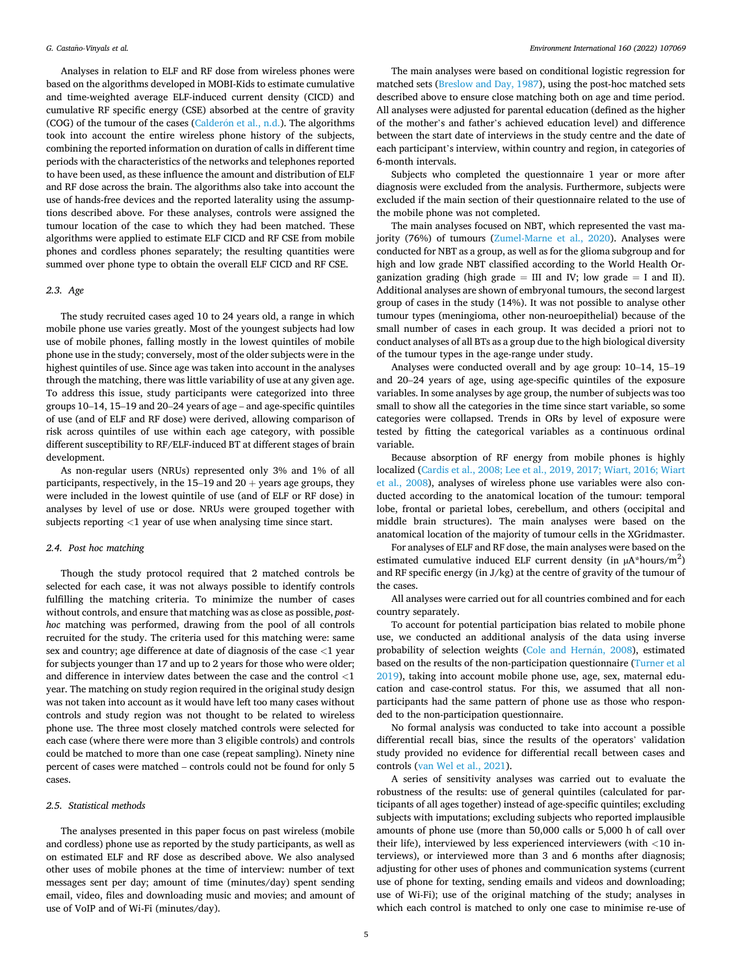Analyses in relation to ELF and RF dose from wireless phones were based on the algorithms developed in MOBI-Kids to estimate cumulative and time-weighted average ELF-induced current density (CICD) and cumulative RF specific energy (CSE) absorbed at the centre of gravity (COG) of the tumour of the cases (Calderón [et al., n.d.](#page-18-0)). The algorithms took into account the entire wireless phone history of the subjects, combining the reported information on duration of calls in different time periods with the characteristics of the networks and telephones reported to have been used, as these influence the amount and distribution of ELF and RF dose across the brain. The algorithms also take into account the use of hands-free devices and the reported laterality using the assumptions described above. For these analyses, controls were assigned the tumour location of the case to which they had been matched. These algorithms were applied to estimate ELF CICD and RF CSE from mobile phones and cordless phones separately; the resulting quantities were summed over phone type to obtain the overall ELF CICD and RF CSE.

## *2.3. Age*

The study recruited cases aged 10 to 24 years old, a range in which mobile phone use varies greatly. Most of the youngest subjects had low use of mobile phones, falling mostly in the lowest quintiles of mobile phone use in the study; conversely, most of the older subjects were in the highest quintiles of use. Since age was taken into account in the analyses through the matching, there was little variability of use at any given age. To address this issue, study participants were categorized into three groups 10–14, 15–19 and 20–24 years of age – and age-specific quintiles of use (and of ELF and RF dose) were derived, allowing comparison of risk across quintiles of use within each age category, with possible different susceptibility to RF/ELF-induced BT at different stages of brain development.

As non-regular users (NRUs) represented only 3% and 1% of all participants, respectively, in the  $15-19$  and  $20 +$  years age groups, they were included in the lowest quintile of use (and of ELF or RF dose) in analyses by level of use or dose. NRUs were grouped together with subjects reporting *<*1 year of use when analysing time since start.

#### *2.4. Post hoc matching*

Though the study protocol required that 2 matched controls be selected for each case, it was not always possible to identify controls fulfilling the matching criteria. To minimize the number of cases without controls, and ensure that matching was as close as possible, *posthoc* matching was performed, drawing from the pool of all controls recruited for the study. The criteria used for this matching were: same sex and country; age difference at date of diagnosis of the case *<*1 year for subjects younger than 17 and up to 2 years for those who were older; and difference in interview dates between the case and the control *<*1 year. The matching on study region required in the original study design was not taken into account as it would have left too many cases without controls and study region was not thought to be related to wireless phone use. The three most closely matched controls were selected for each case (where there were more than 3 eligible controls) and controls could be matched to more than one case (repeat sampling). Ninety nine percent of cases were matched – controls could not be found for only 5 cases.

#### *2.5. Statistical methods*

The analyses presented in this paper focus on past wireless (mobile and cordless) phone use as reported by the study participants, as well as on estimated ELF and RF dose as described above. We also analysed other uses of mobile phones at the time of interview: number of text messages sent per day; amount of time (minutes/day) spent sending email, video, files and downloading music and movies; and amount of use of VoIP and of Wi-Fi (minutes/day).

The main analyses were based on conditional logistic regression for matched sets [\(Breslow and Day, 1987\)](#page-18-0), using the post-hoc matched sets described above to ensure close matching both on age and time period. All analyses were adjusted for parental education (defined as the higher of the mother's and father's achieved education level) and difference between the start date of interviews in the study centre and the date of each participant's interview, within country and region, in categories of 6-month intervals.

Subjects who completed the questionnaire 1 year or more after diagnosis were excluded from the analysis. Furthermore, subjects were excluded if the main section of their questionnaire related to the use of the mobile phone was not completed.

The main analyses focused on NBT, which represented the vast ma-jority (76%) of tumours [\(Zumel-Marne et al., 2020\)](#page-19-0). Analyses were conducted for NBT as a group, as well as for the glioma subgroup and for high and low grade NBT classified according to the World Health Organization grading (high grade  $=$  III and IV; low grade  $=$  I and II). Additional analyses are shown of embryonal tumours, the second largest group of cases in the study (14%). It was not possible to analyse other tumour types (meningioma, other non-neuroepithelial) because of the small number of cases in each group. It was decided a priori not to conduct analyses of all BTs as a group due to the high biological diversity of the tumour types in the age-range under study.

Analyses were conducted overall and by age group: 10–14, 15–19 and 20–24 years of age, using age-specific quintiles of the exposure variables. In some analyses by age group, the number of subjects was too small to show all the categories in the time since start variable, so some categories were collapsed. Trends in ORs by level of exposure were tested by fitting the categorical variables as a continuous ordinal variable.

Because absorption of RF energy from mobile phones is highly localized [\(Cardis et al., 2008; Lee et al., 2019, 2017; Wiart, 2016; Wiart](#page-18-0)  [et al., 2008](#page-18-0)), analyses of wireless phone use variables were also conducted according to the anatomical location of the tumour: temporal lobe, frontal or parietal lobes, cerebellum, and others (occipital and middle brain structures). The main analyses were based on the anatomical location of the majority of tumour cells in the XGridmaster.

For analyses of ELF and RF dose, the main analyses were based on the estimated cumulative induced ELF current density (in  $\mu$ A\*hours/m<sup>2</sup>) and RF specific energy (in J/kg) at the centre of gravity of the tumour of the cases.

All analyses were carried out for all countries combined and for each country separately.

To account for potential participation bias related to mobile phone use, we conducted an additional analysis of the data using inverse probability of selection weights (Cole and Hernán, 2008), estimated based on the results of the non-participation questionnaire ([Turner et al](#page-19-0)  [2019\)](#page-19-0), taking into account mobile phone use, age, sex, maternal education and case-control status. For this, we assumed that all nonparticipants had the same pattern of phone use as those who responded to the non-participation questionnaire.

No formal analysis was conducted to take into account a possible differential recall bias, since the results of the operators' validation study provided no evidence for differential recall between cases and controls [\(van Wel et al., 2021\)](#page-19-0).

A series of sensitivity analyses was carried out to evaluate the robustness of the results: use of general quintiles (calculated for participants of all ages together) instead of age-specific quintiles; excluding subjects with imputations; excluding subjects who reported implausible amounts of phone use (more than 50,000 calls or 5,000 h of call over their life), interviewed by less experienced interviewers (with *<*10 interviews), or interviewed more than 3 and 6 months after diagnosis; adjusting for other uses of phones and communication systems (current use of phone for texting, sending emails and videos and downloading; use of Wi-Fi); use of the original matching of the study; analyses in which each control is matched to only one case to minimise re-use of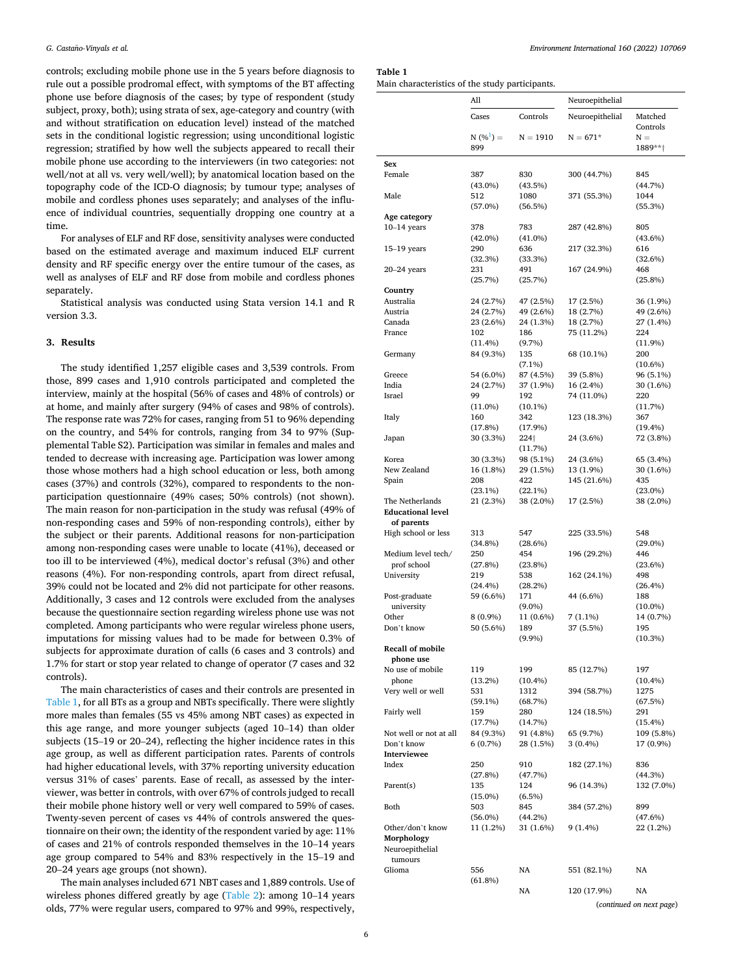controls; excluding mobile phone use in the 5 years before diagnosis to rule out a possible prodromal effect, with symptoms of the BT affecting phone use before diagnosis of the cases; by type of respondent (study subject, proxy, both); using strata of sex, age-category and country (with and without stratification on education level) instead of the matched sets in the conditional logistic regression; using unconditional logistic regression; stratified by how well the subjects appeared to recall their mobile phone use according to the interviewers (in two categories: not well/not at all vs. very well/well); by anatomical location based on the topography code of the ICD-O diagnosis; by tumour type; analyses of mobile and cordless phones uses separately; and analyses of the influence of individual countries, sequentially dropping one country at a time.

For analyses of ELF and RF dose, sensitivity analyses were conducted based on the estimated average and maximum induced ELF current density and RF specific energy over the entire tumour of the cases, as well as analyses of ELF and RF dose from mobile and cordless phones separately.

Statistical analysis was conducted using Stata version 14.1 and R version 3.3.

## **3. Results**

The study identified 1,257 eligible cases and 3,539 controls. From those, 899 cases and 1,910 controls participated and completed the interview, mainly at the hospital (56% of cases and 48% of controls) or at home, and mainly after surgery (94% of cases and 98% of controls). The response rate was 72% for cases, ranging from 51 to 96% depending on the country, and 54% for controls, ranging from 34 to 97% (Supplemental Table S2). Participation was similar in females and males and tended to decrease with increasing age. Participation was lower among those whose mothers had a high school education or less, both among cases (37%) and controls (32%), compared to respondents to the nonparticipation questionnaire (49% cases; 50% controls) (not shown). The main reason for non-participation in the study was refusal (49% of non-responding cases and 59% of non-responding controls), either by the subject or their parents. Additional reasons for non-participation among non-responding cases were unable to locate (41%), deceased or too ill to be interviewed (4%), medical doctor's refusal (3%) and other reasons (4%). For non-responding controls, apart from direct refusal, 39% could not be located and 2% did not participate for other reasons. Additionally, 3 cases and 12 controls were excluded from the analyses because the questionnaire section regarding wireless phone use was not completed. Among participants who were regular wireless phone users, imputations for missing values had to be made for between 0.3% of subjects for approximate duration of calls (6 cases and 3 controls) and 1.7% for start or stop year related to change of operator (7 cases and 32 controls).

The main characteristics of cases and their controls are presented in Table 1, for all BTs as a group and NBTs specifically. There were slightly more males than females (55 vs 45% among NBT cases) as expected in this age range, and more younger subjects (aged 10–14) than older subjects (15–19 or 20–24), reflecting the higher incidence rates in this age group, as well as different participation rates. Parents of controls had higher educational levels, with 37% reporting university education versus 31% of cases' parents. Ease of recall, as assessed by the interviewer, was better in controls, with over 67% of controls judged to recall their mobile phone history well or very well compared to 59% of cases. Twenty-seven percent of cases vs 44% of controls answered the questionnaire on their own; the identity of the respondent varied by age: 11% of cases and 21% of controls responded themselves in the 10–14 years age group compared to 54% and 83% respectively in the 15–19 and 20–24 years age groups (not shown).

The main analyses included 671 NBT cases and 1,889 controls. Use of wireless phones differed greatly by age ([Table 2\)](#page-6-0): among 10–14 years olds, 77% were regular users, compared to 97% and 99%, respectively,

**Table 1**  Main characteristics of the study participants.

|               | All                 |                   | Neuroepithelial |                     |
|---------------|---------------------|-------------------|-----------------|---------------------|
|               | Cases               | Controls          | Neuroepithelial | Matched<br>Controls |
|               | $N(%^{1}) =$<br>899 | $N = 1910$        | $N = 671*$      | $N =$<br>1889**†    |
| Sex           |                     |                   |                 |                     |
| Female        | 387<br>$(43.0\%)$   | 830<br>(43.5%)    | 300 (44.7%)     | 845<br>(44.7%)      |
| Male          | 512<br>$(57.0\%)$   | 1080<br>(56.5%)   | 371 (55.3%)     | 1044<br>(55.3%)     |
| Age category  |                     |                   |                 |                     |
| $10-14$ years | 378<br>$(42.0\%)$   | 783<br>$(41.0\%)$ | 287 (42.8%)     | 805<br>$(43.6\%)$   |
| $15-19$ years | 290<br>(32.3%)      | 636<br>(33.3%)    | 217 (32.3%)     | 616<br>(32.6%)      |
| $20-24$ years | 231<br>(25.7%)      | 491<br>(25.7%)    | 167 (24.9%)     | 468<br>$(25.8\%)$   |
| $\sim$ $\sim$ |                     |                   |                 |                     |

|                          | $(43.0\%)$ | (43.5%)    |             | (44.7%)    |
|--------------------------|------------|------------|-------------|------------|
| Male                     | 512        | 1080       | 371 (55.3%) | 1044       |
|                          | $(57.0\%)$ | (56.5%)    |             | (55.3%)    |
| Age category             |            |            |             |            |
| $10-14$ years            | 378        | 783        | 287 (42.8%) | 805        |
|                          | $(42.0\%)$ | $(41.0\%)$ |             | $(43.6\%)$ |
| $15-19$ years            | 290        | 636        | 217 (32.3%) | 616        |
|                          |            |            |             |            |
|                          | (32.3%)    | (33.3%)    |             | (32.6%)    |
| 20–24 years              | 231        | 491        | 167 (24.9%) | 468        |
|                          | (25.7%)    | (25.7%)    |             | (25.8%)    |
| Country                  |            |            |             |            |
| Australia                | 24 (2.7%)  | 47 (2.5%)  | 17 (2.5%)   | 36 (1.9%)  |
| Austria                  | 24 (2.7%)  | 49 (2.6%)  | 18 (2.7%)   | 49 (2.6%)  |
| Canada                   | 23 (2.6%)  | 24 (1.3%)  | 18 (2.7%)   | 27 (1.4%)  |
| France                   | 102        | 186        | 75 (11.2%)  | 224        |
|                          | (11.4%)    | $(9.7\%)$  |             | $(11.9\%)$ |
| Germany                  | 84 (9.3%)  | 135        | 68 (10.1%)  | 200        |
|                          |            | $(7.1\%)$  |             | $(10.6\%)$ |
| Greece                   | 54 (6.0%)  | 87 (4.5%)  | 39 (5.8%)   | 96 (5.1%)  |
| India                    | 24 (2.7%)  | 37 (1.9%)  | 16 (2.4%)   | 30 (1.6%)  |
| Israel                   | 99         | 192        | 74 (11.0%)  | 220        |
|                          | $(11.0\%)$ | $(10.1\%)$ |             | (11.7%)    |
| Italy                    | 160        | 342        | 123 (18.3%) | 367        |
|                          | (17.8%)    | (17.9%)    |             | $(19.4\%)$ |
| Japan                    | 30 (3.3%)  | 224†       | 24 (3.6%)   | 72 (3.8%)  |
|                          |            | (11.7%)    |             |            |
| Korea                    | 30 (3.3%)  | 98 (5.1%)  | 24 (3.6%)   | 65 (3.4%)  |
| New Zealand              |            |            |             |            |
|                          | 16 (1.8%)  | 29 (1.5%)  | 13 (1.9%)   | 30 (1.6%)  |
| Spain                    | 208        | 422        | 145 (21.6%) | 435        |
|                          | $(23.1\%)$ | (22.1%)    |             | $(23.0\%)$ |
| The Netherlands          | 21 (2.3%)  | 38 (2.0%)  | 17 (2.5%)   | 38 (2.0%)  |
| <b>Educational level</b> |            |            |             |            |
| of parents               |            |            |             |            |
| High school or less      | 313        | 547        | 225 (33.5%) | 548        |
|                          | $(34.8\%)$ | $(28.6\%)$ |             | $(29.0\%)$ |
| Medium level tech/       | 250        | 454        | 196 (29.2%) | 446        |
| prof school              | (27.8%)    | $(23.8\%)$ |             | (23.6%)    |
| University               | 219        | 538        | 162 (24.1%) | 498        |
|                          | $(24.4\%)$ | (28.2%)    |             | (26.4%)    |
| Post-graduate            | 59 (6.6%)  | 171        | 44 (6.6%)   | 188        |
| university               |            | $(9.0\%)$  |             | $(10.0\%)$ |
| Other                    | 8 (0.9%)   | 11 (0.6%)  | 7 (1.1%)    | 14 (0.7%)  |
| Don't know               | 50 (5.6%)  | 189        | 37 (5.5%)   | 195        |
|                          |            | $(9.9\%)$  |             | $(10.3\%)$ |
| <b>Recall of mobile</b>  |            |            |             |            |
| phone use                |            |            |             |            |
| No use of mobile         | 119        | 199        | 85 (12.7%)  | 197        |
| phone                    |            |            |             |            |
|                          | $(13.2\%)$ | $(10.4\%)$ |             | $(10.4\%)$ |
| Very well or well        | 531        | 1312       | 394 (58.7%) | 1275       |
|                          | $(59.1\%)$ | (68.7%)    |             | (67.5%)    |
| Fairly well              | 159        | 280        | 124 (18.5%) | 291        |
|                          | (17.7%)    | (14.7%)    |             | (15.4%)    |
| Not well or not at all   | 84 (9.3%)  | 91 (4.8%)  | 65 (9.7%)   | 109 (5.8%) |
| Don't know               | 6(0.7%)    | 28 (1.5%)  | 3(0.4%)     | 17 (0.9%)  |
| Interviewee              |            |            |             |            |
| Index                    | 250        | 910        | 182 (27.1%) | 836        |
|                          | (27.8%)    | (47.7%)    |             | (44.3%)    |
| Parent(s)                | 135        | 124        | 96 (14.3%)  | 132 (7.0%) |
|                          | $(15.0\%)$ | $(6.5\%)$  |             |            |
| Both                     | 503        | 845        | 384 (57.2%) | 899        |
|                          | $(56.0\%)$ | (44.2%)    |             | (47.6%)    |
| Other/don't know         | 11 (1.2%)  | 31 (1.6%)  | $9(1.4\%)$  | 22 (1.2%)  |
| Morphology               |            |            |             |            |
| Neuroepithelial          |            |            |             |            |
|                          |            |            |             |            |
|                          |            |            |             |            |
| tumours                  |            |            |             |            |
| Glioma                   | 556        | NA         | 551 (82.1%) | NA         |
|                          | (61.8%)    |            |             |            |
|                          |            | NA         | 120 (17.9%) | NA         |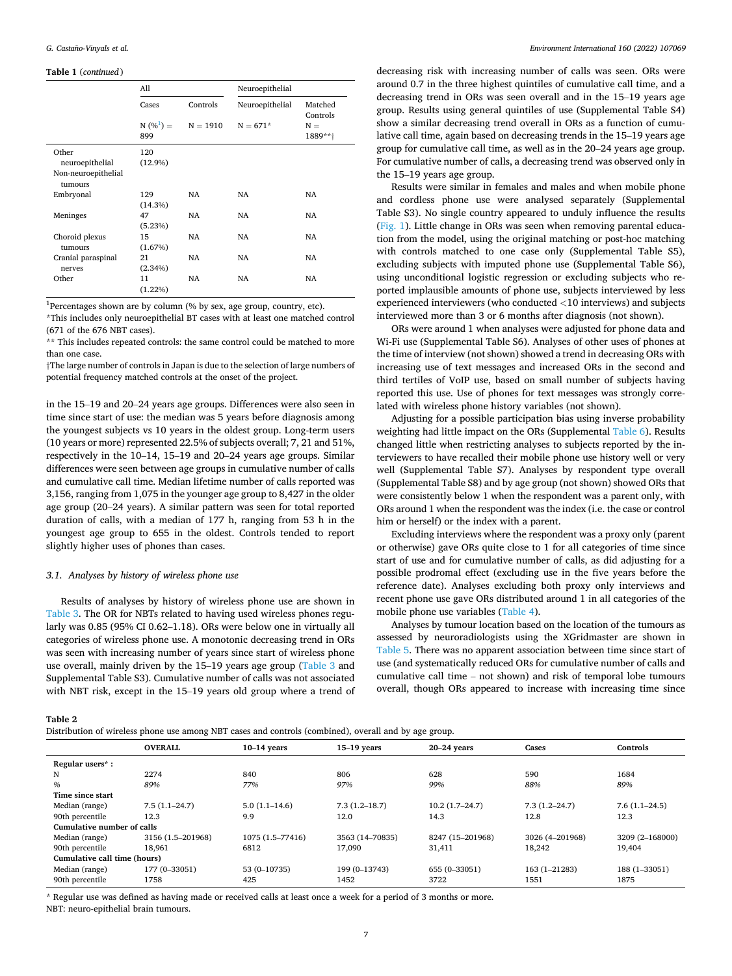#### <span id="page-6-0"></span>**Table 1** (*continued* )

|                                | All        |                        | Neuroepithelial |                     |  |  |
|--------------------------------|------------|------------------------|-----------------|---------------------|--|--|
|                                | Cases      | Controls               | Neuroepithelial | Matched<br>Controls |  |  |
|                                | 899        | $N(\%^{1}) = N = 1910$ | $N = 671*$      | $N =$<br>1889**†    |  |  |
| Other                          | 120        |                        |                 |                     |  |  |
| neuroepithelial                | $(12.9\%)$ |                        |                 |                     |  |  |
| Non-neuroepithelial<br>tumours |            |                        |                 |                     |  |  |
| Embryonal                      | 129        | NA                     | NA              | NA                  |  |  |
|                                | (14.3%)    |                        |                 |                     |  |  |
| Meninges                       | 47         | NA                     | NA              | <b>NA</b>           |  |  |
|                                | (5.23%)    |                        |                 |                     |  |  |
| Choroid plexus                 | 15         | NA                     | NA              | NA                  |  |  |
| tumours                        | (1.67%)    |                        |                 |                     |  |  |
| Cranial paraspinal             | 21         | NA                     | NA              | NA                  |  |  |
| nerves                         | $(2.34\%)$ |                        |                 |                     |  |  |
| Other                          | 11         | NA                     | NA              | <b>NA</b>           |  |  |
|                                | $(1.22\%)$ |                        |                 |                     |  |  |

<sup>1</sup>Percentages shown are by column (% by sex, age group, country, etc).

\*This includes only neuroepithelial BT cases with at least one matched control (671 of the 676 NBT cases).

\*\* This includes repeated controls: the same control could be matched to more than one case.

†The large number of controls in Japan is due to the selection of large numbers of potential frequency matched controls at the onset of the project.

in the 15–19 and 20–24 years age groups. Differences were also seen in time since start of use: the median was 5 years before diagnosis among the youngest subjects vs 10 years in the oldest group. Long-term users (10 years or more) represented 22.5% of subjects overall; 7, 21 and 51%, respectively in the 10–14, 15–19 and 20–24 years age groups. Similar differences were seen between age groups in cumulative number of calls and cumulative call time. Median lifetime number of calls reported was 3,156, ranging from 1,075 in the younger age group to 8,427 in the older age group (20–24 years). A similar pattern was seen for total reported duration of calls, with a median of 177 h, ranging from 53 h in the youngest age group to 655 in the oldest. Controls tended to report slightly higher uses of phones than cases.

## *3.1. Analyses by history of wireless phone use*

Results of analyses by history of wireless phone use are shown in [Table 3](#page-7-0). The OR for NBTs related to having used wireless phones regularly was 0.85 (95% CI 0.62–1.18). ORs were below one in virtually all categories of wireless phone use. A monotonic decreasing trend in ORs was seen with increasing number of years since start of wireless phone use overall, mainly driven by the 15–19 years age group [\(Table 3](#page-7-0) and Supplemental Table S3). Cumulative number of calls was not associated with NBT risk, except in the 15–19 years old group where a trend of

Distribution of wireless phone use among NBT cases and controls (combined), overall and by age group.

decreasing risk with increasing number of calls was seen. ORs were around 0.7 in the three highest quintiles of cumulative call time, and a decreasing trend in ORs was seen overall and in the 15–19 years age group. Results using general quintiles of use (Supplemental Table S4) show a similar decreasing trend overall in ORs as a function of cumulative call time, again based on decreasing trends in the 15–19 years age group for cumulative call time, as well as in the 20–24 years age group. For cumulative number of calls, a decreasing trend was observed only in the 15–19 years age group.

Results were similar in females and males and when mobile phone and cordless phone use were analysed separately (Supplemental Table S3). No single country appeared to unduly influence the results ([Fig. 1\)](#page-8-0). Little change in ORs was seen when removing parental education from the model, using the original matching or post-hoc matching with controls matched to one case only (Supplemental Table S5), excluding subjects with imputed phone use (Supplemental Table S6), using unconditional logistic regression or excluding subjects who reported implausible amounts of phone use, subjects interviewed by less experienced interviewers (who conducted *<*10 interviews) and subjects interviewed more than 3 or 6 months after diagnosis (not shown).

ORs were around 1 when analyses were adjusted for phone data and Wi-Fi use (Supplemental Table S6). Analyses of other uses of phones at the time of interview (not shown) showed a trend in decreasing ORs with increasing use of text messages and increased ORs in the second and third tertiles of VoIP use, based on small number of subjects having reported this use. Use of phones for text messages was strongly correlated with wireless phone history variables (not shown).

Adjusting for a possible participation bias using inverse probability weighting had little impact on the ORs (Supplemental [Table 6](#page-10-0)). Results changed little when restricting analyses to subjects reported by the interviewers to have recalled their mobile phone use history well or very well (Supplemental Table S7). Analyses by respondent type overall (Supplemental Table S8) and by age group (not shown) showed ORs that were consistently below 1 when the respondent was a parent only, with ORs around 1 when the respondent was the index (i.e. the case or control him or herself) or the index with a parent.

Excluding interviews where the respondent was a proxy only (parent or otherwise) gave ORs quite close to 1 for all categories of time since start of use and for cumulative number of calls, as did adjusting for a possible prodromal effect (excluding use in the five years before the reference date). Analyses excluding both proxy only interviews and recent phone use gave ORs distributed around 1 in all categories of the mobile phone use variables ([Table 4\)](#page-8-0).

Analyses by tumour location based on the location of the tumours as assessed by neuroradiologists using the XGridmaster are shown in [Table 5](#page-9-0). There was no apparent association between time since start of use (and systematically reduced ORs for cumulative number of calls and cumulative call time – not shown) and risk of temporal lobe tumours overall, though ORs appeared to increase with increasing time since

|                              | <b>OVERALL</b>    | $10-14$ years    | $15-19$ years     | $20-24$ years    | Cases             | Controls        |  |  |
|------------------------------|-------------------|------------------|-------------------|------------------|-------------------|-----------------|--|--|
| Regular users <sup>*</sup> : |                   |                  |                   |                  |                   |                 |  |  |
| N                            | 2274              | 840              | 806               | 628              | 590               | 1684            |  |  |
| $\%$                         | 89%               | 77%              | 97%               | 99%              | 88%               | 89%             |  |  |
| Time since start             |                   |                  |                   |                  |                   |                 |  |  |
| Median (range)               | $7.5(1.1-24.7)$   | $5.0(1.1-14.6)$  | $7.3(1.2 - 18.7)$ | $10.2(1.7-24.7)$ | $7.3(1.2 - 24.7)$ | $7.6(1.1-24.5)$ |  |  |
| 90th percentile              | 12.3              | 9.9              | 12.0              | 14.3             | 12.8              | 12.3            |  |  |
| Cumulative number of calls   |                   |                  |                   |                  |                   |                 |  |  |
| Median (range)               | 3156 (1.5-201968) | 1075 (1.5-77416) | 3563 (14-70835)   | 8247 (15-201968) | 3026 (4-201968)   | 3209 (2-168000) |  |  |
| 90th percentile              | 18.961            | 6812             | 17,090            | 31,411           | 18,242            | 19,404          |  |  |
| Cumulative call time (hours) |                   |                  |                   |                  |                   |                 |  |  |
| Median (range)               | 177 (0-33051)     | 53 (0-10735)     | 199 (0-13743)     | 655 (0-33051)    | 163 (1-21283)     | 188 (1-33051)   |  |  |
| 90th percentile              | 425<br>1758       |                  | 1452              | 3722             | 1551              | 1875            |  |  |

\* Regular use was defined as having made or received calls at least once a week for a period of 3 months or more.

NBT: neuro-epithelial brain tumours.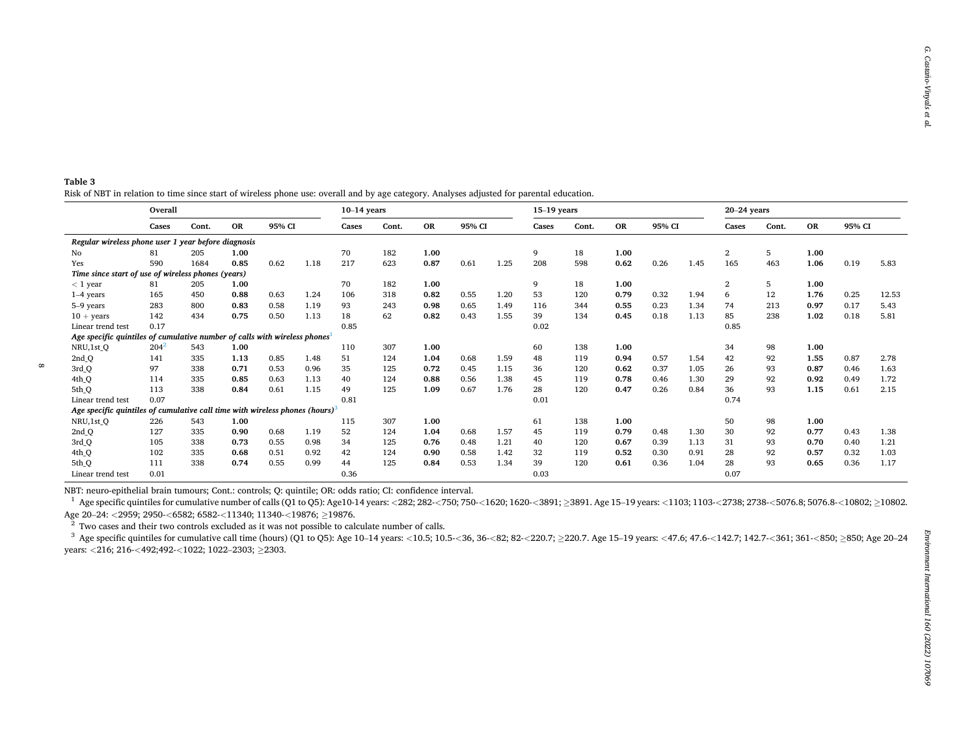<span id="page-7-0"></span>

| Table 3                                                                                                                                   |  |
|-------------------------------------------------------------------------------------------------------------------------------------------|--|
| Risk of NBT in relation to time since start of wireless phone use: overall and by age category. Analyses adjusted for parental education. |  |

|                                                                                          | Overall |       |           |        |      | $10-14$ years |       |                     |      |       | $15-19$ years |           |        |      |       | $20-24$ years  |           |        |      |       |
|------------------------------------------------------------------------------------------|---------|-------|-----------|--------|------|---------------|-------|---------------------|------|-------|---------------|-----------|--------|------|-------|----------------|-----------|--------|------|-------|
|                                                                                          | Cases   | Cont. | <b>OR</b> | 95% CI |      | Cases         | Cont. | 95% CI<br><b>OR</b> |      | Cases | Cont.         | <b>OR</b> | 95% CI |      | Cases | Cont.          | <b>OR</b> | 95% CI |      |       |
| Regular wireless phone user 1 year before diagnosis                                      |         |       |           |        |      |               |       |                     |      |       |               |           |        |      |       |                |           |        |      |       |
| No                                                                                       | 81      | 205   | 1.00      |        |      | 70            | 182   | 1.00                |      |       | 9             | 18        | 1.00   |      |       | 2              | 5         | 1.00   |      |       |
| Yes                                                                                      | 590     | 1684  | 0.85      | 0.62   | 1.18 | 217           | 623   | 0.87                | 0.61 | 1.25  | 208           | 598       | 0.62   | 0.26 | 1.45  | 165            | 463       | 1.06   | 0.19 | 5.83  |
| Time since start of use of wireless phones (years)                                       |         |       |           |        |      |               |       |                     |      |       |               |           |        |      |       |                |           |        |      |       |
| $<$ 1 year                                                                               | 81      | 205   | 1.00      |        |      | 70            | 182   | 1.00                |      |       | 9             | 18        | 1.00   |      |       | $\overline{2}$ | 5         | 1.00   |      |       |
| $1-4$ years                                                                              | 165     | 450   | 0.88      | 0.63   | 1.24 | 106           | 318   | 0.82                | 0.55 | 1.20  | 53            | 120       | 0.79   | 0.32 | 1.94  | 6              | 12        | 1.76   | 0.25 | 12.53 |
| 5-9 years                                                                                | 283     | 800   | 0.83      | 0.58   | 1.19 | 93            | 243   | 0.98                | 0.65 | 1.49  | 116           | 344       | 0.55   | 0.23 | 1.34  | 74             | 213       | 0.97   | 0.17 | 5.43  |
| $10 + \text{years}$                                                                      | 142     | 434   | 0.75      | 0.50   | 1.13 | 18            | 62    | 0.82                | 0.43 | 1.55  | 39            | 134       | 0.45   | 0.18 | 1.13  | 85             | 238       | 1.02   | 0.18 | 5.81  |
| Linear trend test                                                                        | 0.17    |       |           |        |      | 0.85          |       |                     |      |       | 0.02          |           |        |      |       | 0.85           |           |        |      |       |
| Age specific quintiles of cumulative number of calls with wireless phones <sup>1</sup>   |         |       |           |        |      |               |       |                     |      |       |               |           |        |      |       |                |           |        |      |       |
| NRU,1st Q                                                                                | $204^2$ | 543   | 1.00      |        |      | 110           | 307   | 1.00                |      |       | 60            | 138       | 1.00   |      |       | 34             | 98        | 1.00   |      |       |
| 2nd <sub>Q</sub>                                                                         | 141     | 335   | 1.13      | 0.85   | 1.48 | 51            | 124   | 1.04                | 0.68 | 1.59  | 48            | 119       | 0.94   | 0.57 | 1.54  | 42             | 92        | 1.55   | 0.87 | 2.78  |
| 3rd <sub>Q</sub>                                                                         | 97      | 338   | 0.71      | 0.53   | 0.96 | 35            | 125   | 0.72                | 0.45 | 1.15  | 36            | 120       | 0.62   | 0.37 | 1.05  | 26             | 93        | 0.87   | 0.46 | 1.63  |
| 4th <sub>Q</sub>                                                                         | 114     | 335   | 0.85      | 0.63   | 1.13 | 40            | 124   | 0.88                | 0.56 | 1.38  | 45            | 119       | 0.78   | 0.46 | 1.30  | 29             | 92        | 0.92   | 0.49 | 1.72  |
| 5th Q                                                                                    | 113     | 338   | 0.84      | 0.61   | 1.15 | 49            | 125   | 1.09                | 0.67 | 1.76  | 28            | 120       | 0.47   | 0.26 | 0.84  | 36             | 93        | 1.15   | 0.61 | 2.15  |
| Linear trend test                                                                        | 0.07    |       |           |        |      | 0.81          |       |                     |      |       | 0.01          |           |        |      |       | 0.74           |           |        |      |       |
| Age specific quintiles of cumulative call time with wireless phones (hours) <sup>3</sup> |         |       |           |        |      |               |       |                     |      |       |               |           |        |      |       |                |           |        |      |       |
| NRU,1st_Q                                                                                | 226     | 543   | 1.00      |        |      | 115           | 307   | 1.00                |      |       | 61            | 138       | 1.00   |      |       | 50             | 98        | 1.00   |      |       |
| 2nd <sub>Q</sub>                                                                         | 127     | 335   | 0.90      | 0.68   | 1.19 | 52            | 124   | 1.04                | 0.68 | 1.57  | 45            | 119       | 0.79   | 0.48 | 1.30  | 30             | 92        | 0.77   | 0.43 | 1.38  |
| 3rd <sub>Q</sub>                                                                         | 105     | 338   | 0.73      | 0.55   | 0.98 | 34            | 125   | 0.76                | 0.48 | 1.21  | 40            | 120       | 0.67   | 0.39 | 1.13  | 31             | 93        | 0.70   | 0.40 | 1.21  |
| 4th <sub>Q</sub>                                                                         | 102     | 335   | 0.68      | 0.51   | 0.92 | 42            | 124   | 0.90                | 0.58 | 1.42  | 32            | 119       | 0.52   | 0.30 | 0.91  | 28             | 92        | 0.57   | 0.32 | 1.03  |
| 5th <sub>Q</sub>                                                                         | 111     | 338   | 0.74      | 0.55   | 0.99 | 44            | 125   | 0.84                | 0.53 | 1.34  | 39            | 120       | 0.61   | 0.36 | 1.04  | 28             | 93        | 0.65   | 0.36 | 1.17  |
| Linear trend test                                                                        | 0.01    |       |           |        |      | 0.36          |       |                     |      |       | 0.03          |           |        |      |       | 0.07           |           |        |      |       |

NBT: neuro-epithelial brain tumours; Cont.: controls; Q: quintile; OR: odds ratio; CI: confidence interval.

<sup>1</sup> Age specific quintiles for cumulative number of calls (Q1 to Q5): Age10-14 years: <282; 282-<750; 750-<1620; 1620-<3891;  $\geq$ 8891. Age 15-19 years: <1103; 1103-<2738; 2738-<5076.8; 5076.8-<10802;  $\geq$ 10802. Age 20–24: *<*2959; 2950-*<*6582; 6582-*<*11340; 11340-*<*19876; ≥19876.

 $2^2$  Two cases and their two controls excluded as it was not possible to calculate number of calls.

 $\infty$ 

<sup>3</sup> Age specific quintiles for cumulative call time (hours) (Q1 to Q5): Age 10–14 years: <10.5; 10.5-<36, 36-<82; 82-<220.7; >220.7. Age 15–19 years: <47.6; 47.6-<142.7; 142.7-<361; 361-<850; >850; Age 20–24 years: *<sup>&</sup>lt;*216; 216-*<*492;492-*<*1022; 1022–2303; ≥2303.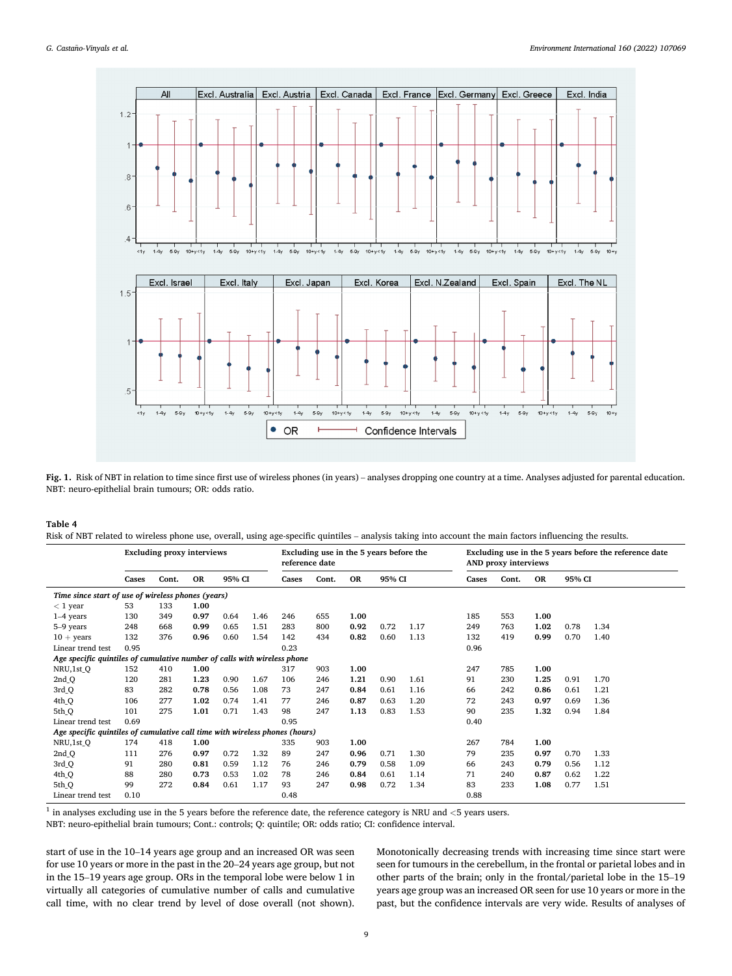<span id="page-8-0"></span>

**Fig. 1.** Risk of NBT in relation to time since first use of wireless phones (in years) – analyses dropping one country at a time. Analyses adjusted for parental education. NBT: neuro-epithelial brain tumours; OR: odds ratio.

## **Table 4**

Risk of NBT related to wireless phone use, overall, using age-specific quintiles – analysis taking into account the main factors influencing the results.

|                                                                             | <b>Excluding proxy interviews</b> |       |           |        |      |       | Excluding use in the 5 years before the<br>reference date |           |        |      |       | AND proxy interviews |           |        | Excluding use in the 5 years before the reference date |
|-----------------------------------------------------------------------------|-----------------------------------|-------|-----------|--------|------|-------|-----------------------------------------------------------|-----------|--------|------|-------|----------------------|-----------|--------|--------------------------------------------------------|
|                                                                             | Cases                             | Cont. | <b>OR</b> | 95% CI |      | Cases | Cont.                                                     | <b>OR</b> | 95% CI |      | Cases | Cont.                | <b>OR</b> | 95% CI |                                                        |
| Time since start of use of wireless phones (years)                          |                                   |       |           |        |      |       |                                                           |           |        |      |       |                      |           |        |                                                        |
| $<$ 1 year                                                                  | 53                                | 133   | 1.00      |        |      |       |                                                           |           |        |      |       |                      |           |        |                                                        |
| $1-4$ years                                                                 | 130                               | 349   | 0.97      | 0.64   | 1.46 | 246   | 655                                                       | 1.00      |        |      | 185   | 553                  | 1.00      |        |                                                        |
| 5-9 years                                                                   | 248                               | 668   | 0.99      | 0.65   | 1.51 | 283   | 800                                                       | 0.92      | 0.72   | 1.17 | 249   | 763                  | 1.02      | 0.78   | 1.34                                                   |
| $10 + \text{years}$                                                         | 132                               | 376   | 0.96      | 0.60   | 1.54 | 142   | 434                                                       | 0.82      | 0.60   | 1.13 | 132   | 419                  | 0.99      | 0.70   | 1.40                                                   |
| Linear trend test                                                           | 0.95                              |       |           |        |      | 0.23  |                                                           |           |        |      | 0.96  |                      |           |        |                                                        |
| Age specific quintiles of cumulative number of calls with wireless phone    |                                   |       |           |        |      |       |                                                           |           |        |      |       |                      |           |        |                                                        |
| NRU,1st Q                                                                   | 152                               | 410   | 1.00      |        |      | 317   | 903                                                       | 1.00      |        |      | 247   | 785                  | 1.00      |        |                                                        |
| 2nd Q                                                                       | 120                               | 281   | 1.23      | 0.90   | 1.67 | 106   | 246                                                       | 1.21      | 0.90   | 1.61 | 91    | 230                  | 1.25      | 0.91   | 1.70                                                   |
| 3rd Q                                                                       | 83                                | 282   | 0.78      | 0.56   | 1.08 | 73    | 247                                                       | 0.84      | 0.61   | 1.16 | 66    | 242                  | 0.86      | 0.61   | 1.21                                                   |
| 4th Q                                                                       | 106                               | 277   | 1.02      | 0.74   | 1.41 | 77    | 246                                                       | 0.87      | 0.63   | 1.20 | 72    | 243                  | 0.97      | 0.69   | 1.36                                                   |
| 5th Q                                                                       | 101                               | 275   | 1.01      | 0.71   | 1.43 | 98    | 247                                                       | 1.13      | 0.83   | 1.53 | 90    | 235                  | 1.32      | 0.94   | 1.84                                                   |
| Linear trend test                                                           | 0.69                              |       |           |        |      | 0.95  |                                                           |           |        |      | 0.40  |                      |           |        |                                                        |
| Age specific quintiles of cumulative call time with wireless phones (hours) |                                   |       |           |        |      |       |                                                           |           |        |      |       |                      |           |        |                                                        |
| NRU,1st Q                                                                   | 174                               | 418   | 1.00      |        |      | 335   | 903                                                       | 1.00      |        |      | 267   | 784                  | 1.00      |        |                                                        |
| 2nd Q                                                                       | 111                               | 276   | 0.97      | 0.72   | 1.32 | 89    | 247                                                       | 0.96      | 0.71   | 1.30 | 79    | 235                  | 0.97      | 0.70   | 1.33                                                   |
| 3rd Q                                                                       | 91                                | 280   | 0.81      | 0.59   | 1.12 | 76    | 246                                                       | 0.79      | 0.58   | 1.09 | 66    | 243                  | 0.79      | 0.56   | 1.12                                                   |
| 4th Q                                                                       | 88                                | 280   | 0.73      | 0.53   | 1.02 | 78    | 246                                                       | 0.84      | 0.61   | 1.14 | 71    | 240                  | 0.87      | 0.62   | 1.22                                                   |
| 5th Q                                                                       | 99                                | 272   | 0.84      | 0.61   | 1.17 | 93    | 247                                                       | 0.98      | 0.72   | 1.34 | 83    | 233                  | 1.08      | 0.77   | 1.51                                                   |
| Linear trend test                                                           | 0.10                              |       |           |        |      | 0.48  |                                                           |           |        |      | 0.88  |                      |           |        |                                                        |

 $^{\rm 1}$  in analyses excluding use in the 5 years before the reference date, the reference category is NRU and  $<$  5 years users.

NBT: neuro-epithelial brain tumours; Cont.: controls; Q: quintile; OR: odds ratio; CI: confidence interval.

start of use in the 10–14 years age group and an increased OR was seen for use 10 years or more in the past in the 20–24 years age group, but not in the 15–19 years age group. ORs in the temporal lobe were below 1 in virtually all categories of cumulative number of calls and cumulative call time, with no clear trend by level of dose overall (not shown).

Monotonically decreasing trends with increasing time since start were seen for tumours in the cerebellum, in the frontal or parietal lobes and in other parts of the brain; only in the frontal/parietal lobe in the 15–19 years age group was an increased OR seen for use 10 years or more in the past, but the confidence intervals are very wide. Results of analyses of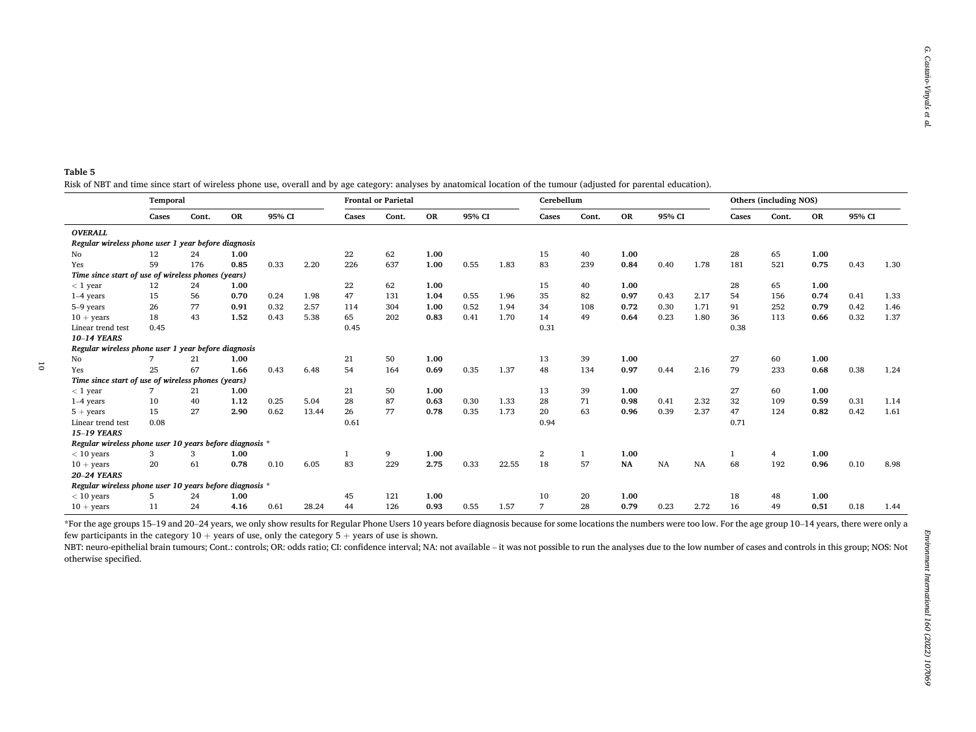<span id="page-9-0"></span>

| Table 5 |                                                                                                                                                                       |  |
|---------|-----------------------------------------------------------------------------------------------------------------------------------------------------------------------|--|
|         | Risk of NBT and time since start of wireless phone use, overall and by age category: analyses by anatomical location of the tumour (adjusted for parental education). |  |

|                                                         | Temporal |       |           |        |       |       | <b>Frontal or Parietal</b> |      |      |        | Cerebellum     |       |               |           |      | Others (including NOS) |     |           |        |      |  |
|---------------------------------------------------------|----------|-------|-----------|--------|-------|-------|----------------------------|------|------|--------|----------------|-------|---------------|-----------|------|------------------------|-----|-----------|--------|------|--|
|                                                         | Cases    | Cont. | <b>OR</b> | 95% CI |       | Cases | Cont.                      | OR   |      | 95% CI |                | Cont. | <b>OR</b>     | 95% CI    |      | Cases<br>Cont.         |     | <b>OR</b> | 95% CI |      |  |
| <b>OVERALL</b>                                          |          |       |           |        |       |       |                            |      |      |        |                |       |               |           |      |                        |     |           |        |      |  |
| Regular wireless phone user 1 year before diagnosis     |          |       |           |        |       |       |                            |      |      |        |                |       |               |           |      |                        |     |           |        |      |  |
| No                                                      | 12       | 24    | 1.00      |        |       | 22    | 62                         | 1.00 |      |        | 15             | 40    | 1.00          |           |      | 28                     | 65  | 1.00      |        |      |  |
| Yes                                                     | 59       | 176   | 0.85      | 0.33   | 2.20  | 226   | 637                        | 1.00 | 0.55 | 1.83   | 83             | 239   | 0.84          | 0.40      | 1.78 | 181                    | 521 | 0.75      | 0.43   | 1.30 |  |
| Time since start of use of wireless phones (years)      |          |       |           |        |       |       |                            |      |      |        |                |       |               |           |      |                        |     |           |        |      |  |
| $<$ 1 year                                              | 12       | 24    | 1.00      |        |       | 22    | 62                         | 1.00 |      |        | 15             | 40    | 1.00          |           |      | 28                     | 65  | 1.00      |        |      |  |
| $1-4$ years                                             | 15       | 56    | 0.70      | 0.24   | 1.98  | 47    | 131                        | 1.04 | 0.55 | 1.96   | 35             | 82    | 0.97          | 0.43      | 2.17 | 54                     | 156 | 0.74      | 0.41   | 1.33 |  |
| 5-9 years                                               | 26       | 77    | 0.91      | 0.32   | 2.57  | 114   | 304                        | 1.00 | 0.52 | 1.94   | 34             | 108   | 0.72          | 0.30      | 1.71 | 91                     | 252 | 0.79      | 0.42   | 1.46 |  |
| $10 + \text{years}$                                     | 18       | 43    | 1.52      | 0.43   | 5.38  | 65    | 202                        | 0.83 | 0.41 | 1.70   | 14             | 49    | 0.64          | 0.23      | 1.80 | 36                     | 113 | 0.66      | 0.32   | 1.37 |  |
| Linear trend test                                       | 0.45     |       |           |        |       | 0.45  |                            |      |      |        | 0.31           |       |               |           |      | 0.38                   |     |           |        |      |  |
| 10-14 YEARS                                             |          |       |           |        |       |       |                            |      |      |        |                |       |               |           |      |                        |     |           |        |      |  |
| Regular wireless phone user 1 year before diagnosis     |          |       |           |        |       |       |                            |      |      |        |                |       |               |           |      |                        |     |           |        |      |  |
| Nο                                                      |          | 21    | 1.00      |        |       | 21    | 50                         | 1.00 |      |        | 13             | 39    | 1.00          |           |      | 27                     | 60  | 1.00      |        |      |  |
| Yes                                                     | 25       | 67    | 1.66      | 0.43   | 6.48  | 54    | 164                        | 0.69 | 0.35 | 1.37   | 48             | 134   | 0.97          | 0.44      | 2.16 | 79                     | 233 | 0.68      | 0.38   | 1.24 |  |
| Time since start of use of wireless phones (years)      |          |       |           |        |       |       |                            |      |      |        |                |       |               |           |      |                        |     |           |        |      |  |
| $<$ 1 year                                              |          | 21    | 1.00      |        |       | 21    | 50                         | 1.00 |      |        | 13             | 39    | 1.00          |           |      | 27                     | 60  | 1.00      |        |      |  |
| $1-4$ years                                             | 10       | 40    | 1.12      | 0.25   | 5.04  | 28    | 87                         | 0.63 | 0.30 | 1.33   | 28             | 71    | 0.98          | 0.41      | 2.32 | 32                     | 109 | 0.59      | 0.31   | 1.14 |  |
| $5 + \text{years}$                                      | 15       | 27    | 2.90      | 0.62   | 13.44 | 26    | 77                         | 0.78 | 0.35 | 1.73   | 20             | 63    | 0.96          | 0.39      | 2.37 | 47                     | 124 | 0.82      | 0.42   | 1.61 |  |
| Linear trend test                                       | 0.08     |       |           |        |       | 0.61  |                            |      |      |        | 0.94           |       |               |           |      | 0.71                   |     |           |        |      |  |
| <b>15-19 YEARS</b>                                      |          |       |           |        |       |       |                            |      |      |        |                |       |               |           |      |                        |     |           |        |      |  |
| Regular wireless phone user 10 years before diagnosis * |          |       |           |        |       |       |                            |      |      |        |                |       |               |           |      |                        |     |           |        |      |  |
| $<$ 10 years                                            | 3        | 3     | 1.00      |        |       |       | 9                          | 1.00 |      |        | $\overline{2}$ |       | 1.00          |           |      |                        | 4   | 1.00      |        |      |  |
| $10 + \text{years}$                                     | 20       | 61    | 0.78      | 0.10   | 6.05  | 83    | 229                        | 2.75 | 0.33 | 22.55  | 18             | 57    | $\mathbf{NA}$ | <b>NA</b> | NA   | 68                     | 192 | 0.96      | 0.10   | 8.98 |  |
| <b>20-24 YEARS</b>                                      |          |       |           |        |       |       |                            |      |      |        |                |       |               |           |      |                        |     |           |        |      |  |
| Regular wireless phone user 10 years before diagnosis * |          |       |           |        |       |       |                            |      |      |        |                |       |               |           |      |                        |     |           |        |      |  |
| $<$ 10 years                                            | 5        | 24    | 1.00      |        |       | 45    | 121                        | 1.00 |      |        | 10             | 20    | 1.00          |           |      | 18                     | 48  | 1.00      |        |      |  |
| $10 + \text{years}$                                     | 11       | 24    | 4.16      | 0.61   | 28.24 | 44    | 126                        | 0.93 | 0.55 | 1.57   | $\overline{7}$ | 28    | 0.79          | 0.23      | 2.72 | 16                     | 49  | 0.51      | 0.18   | 1.44 |  |

\*For the age groups 15–19 and 20–24 years, we only show results for Regular Phone Users 10 years before diagnosis because for some locations the numbers were too low. For the age group 10–14 years, there were only a few participants in the category  $10 +$  years of use, only the category  $5 +$  years of use is shown.

NBT: neuro-epithelial brain tumours; Cont.: controls; OR: odds ratio; CI: confidence interval; NA: not available – it was not possible to run the analyses due to the low number of cases and controls in this group; NOS: Not otherwise specified.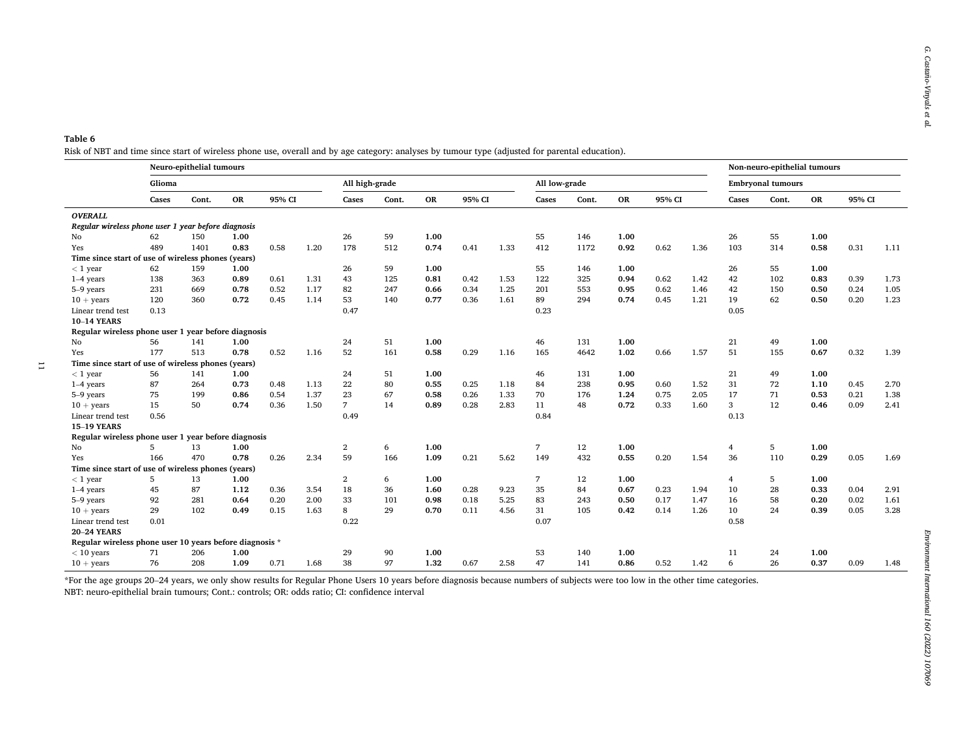## <span id="page-10-0"></span>**Table 6**  Risk of NBT and time since start of wireless phone use, overall and by age category: analyses by tumour type (adjusted for parental education).

 $\overline{\phantom{0}}$ 

|                                                         |        | Neuro-epithelial tumours |           |        |      |                |       |           |        |      |                |       |           |        | Non-neuro-epithelial tumours |                |                          |           |        |      |
|---------------------------------------------------------|--------|--------------------------|-----------|--------|------|----------------|-------|-----------|--------|------|----------------|-------|-----------|--------|------------------------------|----------------|--------------------------|-----------|--------|------|
|                                                         | Glioma |                          |           |        |      | All high-grade |       |           |        |      | All low-grade  |       |           |        |                              |                | <b>Embryonal tumours</b> |           |        |      |
|                                                         | Cases  | Cont.                    | <b>OR</b> | 95% CI |      | Cases          | Cont. | <b>OR</b> | 95% CI |      | Cases          | Cont. | <b>OR</b> | 95% CI |                              | Cases          | Cont.                    | <b>OR</b> | 95% CI |      |
| <b>OVERALL</b>                                          |        |                          |           |        |      |                |       |           |        |      |                |       |           |        |                              |                |                          |           |        |      |
| Regular wireless phone user 1 year before diagnosis     |        |                          |           |        |      |                |       |           |        |      |                |       |           |        |                              |                |                          |           |        |      |
| No.                                                     | 62     | 150                      | 1.00      |        |      | 26             | 59    | 1.00      |        |      | 55             | 146   | 1.00      |        |                              | 26             | 55                       | 1.00      |        |      |
| Yes                                                     | 489    | 1401                     | 0.83      | 0.58   | 1.20 | 178            | 512   | 0.74      | 0.41   | 1.33 | 412            | 1172  | 0.92      | 0.62   | 1.36                         | 103            | 314                      | 0.58      | 0.31   | 1.11 |
| Time since start of use of wireless phones (years)      |        |                          |           |        |      |                |       |           |        |      |                |       |           |        |                              |                |                          |           |        |      |
| $<$ 1 year                                              | 62     | 159                      | 1.00      |        |      | 26             | 59    | 1.00      |        |      | 55             | 146   | 1.00      |        |                              | 26             | 55                       | 1.00      |        |      |
| $1-4$ years                                             | 138    | 363                      | 0.89      | 0.61   | 1.31 | 43             | 125   | 0.81      | 0.42   | 1.53 | 122            | 325   | 0.94      | 0.62   | 1.42                         | 42             | 102                      | 0.83      | 0.39   | 1.73 |
| 5-9 years                                               | 231    | 669                      | 0.78      | 0.52   | 1.17 | 82             | 247   | 0.66      | 0.34   | 1.25 | 201            | 553   | 0.95      | 0.62   | 1.46                         | 42             | 150                      | 0.50      | 0.24   | 1.05 |
| $10 + \text{years}$                                     | 120    | 360                      | 0.72      | 0.45   | 1.14 | 53             | 140   | 0.77      | 0.36   | 1.61 | 89             | 294   | 0.74      | 0.45   | 1.21                         | 19             | 62                       | 0.50      | 0.20   | 1.23 |
| Linear trend test                                       | 0.13   |                          |           |        |      | 0.47           |       |           |        |      | 0.23           |       |           |        |                              | 0.05           |                          |           |        |      |
| <b>10-14 YEARS</b>                                      |        |                          |           |        |      |                |       |           |        |      |                |       |           |        |                              |                |                          |           |        |      |
| Regular wireless phone user 1 year before diagnosis     |        |                          |           |        |      |                |       |           |        |      |                |       |           |        |                              |                |                          |           |        |      |
| No                                                      | 56     | 141                      | 1.00      |        |      | 24             | 51    | 1.00      |        |      | 46             | 131   | 1.00      |        |                              | 21             | 49                       | 1.00      |        |      |
| Yes                                                     | 177    | 513                      | 0.78      | 0.52   | 1.16 | 52             | 161   | 0.58      | 0.29   | 1.16 | 165            | 4642  | 1.02      | 0.66   | 1.57                         | 51             | 155                      | 0.67      | 0.32   | 1.39 |
| Time since start of use of wireless phones (years)      |        |                          |           |        |      |                |       |           |        |      |                |       |           |        |                              |                |                          |           |        |      |
| $<$ 1 year                                              | 56     | 141                      | 1.00      |        |      | 24             | 51    | 1.00      |        |      | 46             | 131   | 1.00      |        |                              | 21             | 49                       | 1.00      |        |      |
| $1-4$ years                                             | 87     | 264                      | 0.73      | 0.48   | 1.13 | 22             | 80    | 0.55      | 0.25   | 1.18 | 84             | 238   | 0.95      | 0.60   | 1.52                         | 31             | 72                       | 1.10      | 0.45   | 2.70 |
| 5-9 years                                               | 75     | 199                      | 0.86      | 0.54   | 1.37 | 23             | 67    | 0.58      | 0.26   | 1.33 | 70             | 176   | 1.24      | 0.75   | 2.05                         | 17             | 71                       | 0.53      | 0.21   | 1.38 |
| $10 + \text{years}$                                     | 15     | 50                       | 0.74      | 0.36   | 1.50 | 7 <sup>7</sup> | 14    | 0.89      | 0.28   | 2.83 | 11             | 48    | 0.72      | 0.33   | 1.60                         | 3              | 12                       | 0.46      | 0.09   | 2.41 |
| Linear trend test                                       | 0.56   |                          |           |        |      | 0.49           |       |           |        |      | 0.84           |       |           |        |                              | 0.13           |                          |           |        |      |
| <b>15-19 YEARS</b>                                      |        |                          |           |        |      |                |       |           |        |      |                |       |           |        |                              |                |                          |           |        |      |
| Regular wireless phone user 1 year before diagnosis     |        |                          |           |        |      |                |       |           |        |      |                |       |           |        |                              |                |                          |           |        |      |
| No                                                      | 5      | 13                       | 1.00      |        |      | $\overline{2}$ | 6     | 1.00      |        |      | $\overline{7}$ | 12    | 1.00      |        |                              | $\overline{4}$ | 5                        | 1.00      |        |      |
| <b>Yes</b>                                              | 166    | 470                      | 0.78      | 0.26   | 2.34 | 59             | 166   | 1.09      | 0.21   | 5.62 | 149            | 432   | 0.55      | 0.20   | 1.54                         | 36             | 110                      | 0.29      | 0.05   | 1.69 |
| Time since start of use of wireless phones (years)      |        |                          |           |        |      |                |       |           |        |      |                |       |           |        |                              |                |                          |           |        |      |
| $<1\,\,\rm{year}$                                       | 5      | 13                       | 1.00      |        |      | 2              | 6     | 1.00      |        |      | 7              | 12    | 1.00      |        |                              | $\overline{4}$ | 5                        | 1.00      |        |      |
| $1-4$ years                                             | 45     | 87                       | 1.12      | 0.36   | 3.54 | 18             | 36    | 1.60      | 0.28   | 9.23 | 35             | 84    | 0.67      | 0.23   | 1.94                         | 10             | 28                       | 0.33      | 0.04   | 2.91 |
| 5-9 years                                               | 92     | 281                      | 0.64      | 0.20   | 2.00 | 33             | 101   | 0.98      | 0.18   | 5.25 | 83             | 243   | 0.50      | 0.17   | 1.47                         | 16             | 58                       | 0.20      | 0.02   | 1.61 |
| $10 + \text{years}$                                     | 29     | 102                      | 0.49      | 0.15   | 1.63 | 8              | 29    | 0.70      | 0.11   | 4.56 | 31             | 105   | 0.42      | 0.14   | 1.26                         | 10             | 24                       | 0.39      | 0.05   | 3.28 |
| Linear trend test                                       | 0.01   |                          |           |        |      | 0.22           |       |           |        |      | 0.07           |       |           |        |                              | 0.58           |                          |           |        |      |
| <b>20-24 YEARS</b>                                      |        |                          |           |        |      |                |       |           |        |      |                |       |           |        |                              |                |                          |           |        |      |
| Regular wireless phone user 10 years before diagnosis * |        |                          |           |        |      |                |       |           |        |      |                |       |           |        |                              |                |                          |           |        |      |
| $< 10$ years                                            | 71     | 206                      | 1.00      |        |      | 29             | 90    | 1.00      |        |      | 53             | 140   | 1.00      |        |                              | 11             | 24                       | 1.00      |        |      |
| $10 + \text{years}$                                     | 76     | 208                      | 1.09      | 0.71   | 1.68 | 38             | 97    | 1.32      | 0.67   | 2.58 | 47             | 141   | 0.86      | 0.52   | 1.42                         | 6              | 26                       | 0.37      | 0.09   | 1.48 |

\*For the age groups 20–24 years, we only show results for Regular Phone Users 10 years before diagnosis because numbers of subjects were too low in the other time categories. NBT: neuro-epithelial brain tumours; Cont.: controls; OR: odds ratio; CI: confidence interval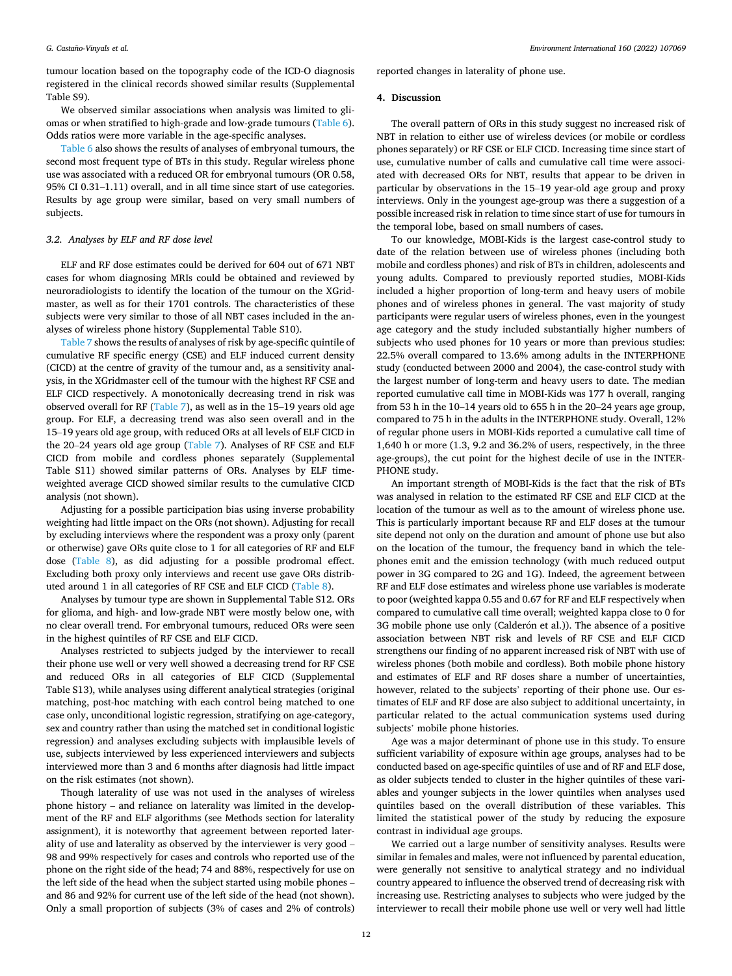tumour location based on the topography code of the ICD-O diagnosis registered in the clinical records showed similar results (Supplemental Table S9).

We observed similar associations when analysis was limited to gliomas or when stratified to high-grade and low-grade tumours [\(Table 6](#page-10-0)). Odds ratios were more variable in the age-specific analyses.

[Table 6](#page-10-0) also shows the results of analyses of embryonal tumours, the second most frequent type of BTs in this study. Regular wireless phone use was associated with a reduced OR for embryonal tumours (OR 0.58, 95% CI 0.31–1.11) overall, and in all time since start of use categories. Results by age group were similar, based on very small numbers of subjects.

#### *3.2. Analyses by ELF and RF dose level*

ELF and RF dose estimates could be derived for 604 out of 671 NBT cases for whom diagnosing MRIs could be obtained and reviewed by neuroradiologists to identify the location of the tumour on the XGridmaster, as well as for their 1701 controls. The characteristics of these subjects were very similar to those of all NBT cases included in the analyses of wireless phone history (Supplemental Table S10).

[Table 7](#page-12-0) shows the results of analyses of risk by age-specific quintile of cumulative RF specific energy (CSE) and ELF induced current density (CICD) at the centre of gravity of the tumour and, as a sensitivity analysis, in the XGridmaster cell of the tumour with the highest RF CSE and ELF CICD respectively. A monotonically decreasing trend in risk was observed overall for RF [\(Table 7\)](#page-12-0), as well as in the 15–19 years old age group. For ELF, a decreasing trend was also seen overall and in the 15–19 years old age group, with reduced ORs at all levels of ELF CICD in the 20–24 years old age group ([Table 7\)](#page-12-0). Analyses of RF CSE and ELF CICD from mobile and cordless phones separately (Supplemental Table S11) showed similar patterns of ORs. Analyses by ELF timeweighted average CICD showed similar results to the cumulative CICD analysis (not shown).

Adjusting for a possible participation bias using inverse probability weighting had little impact on the ORs (not shown). Adjusting for recall by excluding interviews where the respondent was a proxy only (parent or otherwise) gave ORs quite close to 1 for all categories of RF and ELF dose ([Table 8\)](#page-13-0), as did adjusting for a possible prodromal effect. Excluding both proxy only interviews and recent use gave ORs distributed around 1 in all categories of RF CSE and ELF CICD [\(Table 8\)](#page-13-0).

Analyses by tumour type are shown in Supplemental Table S12. ORs for glioma, and high- and low-grade NBT were mostly below one, with no clear overall trend. For embryonal tumours, reduced ORs were seen in the highest quintiles of RF CSE and ELF CICD.

Analyses restricted to subjects judged by the interviewer to recall their phone use well or very well showed a decreasing trend for RF CSE and reduced ORs in all categories of ELF CICD (Supplemental Table S13), while analyses using different analytical strategies (original matching, post-hoc matching with each control being matched to one case only, unconditional logistic regression, stratifying on age-category, sex and country rather than using the matched set in conditional logistic regression) and analyses excluding subjects with implausible levels of use, subjects interviewed by less experienced interviewers and subjects interviewed more than 3 and 6 months after diagnosis had little impact on the risk estimates (not shown).

Though laterality of use was not used in the analyses of wireless phone history – and reliance on laterality was limited in the development of the RF and ELF algorithms (see Methods section for laterality assignment), it is noteworthy that agreement between reported laterality of use and laterality as observed by the interviewer is very good – 98 and 99% respectively for cases and controls who reported use of the phone on the right side of the head; 74 and 88%, respectively for use on the left side of the head when the subject started using mobile phones – and 86 and 92% for current use of the left side of the head (not shown). Only a small proportion of subjects (3% of cases and 2% of controls)

reported changes in laterality of phone use.

### **4. Discussion**

The overall pattern of ORs in this study suggest no increased risk of NBT in relation to either use of wireless devices (or mobile or cordless phones separately) or RF CSE or ELF CICD. Increasing time since start of use, cumulative number of calls and cumulative call time were associated with decreased ORs for NBT, results that appear to be driven in particular by observations in the 15–19 year-old age group and proxy interviews. Only in the youngest age-group was there a suggestion of a possible increased risk in relation to time since start of use for tumours in the temporal lobe, based on small numbers of cases.

To our knowledge, MOBI-Kids is the largest case-control study to date of the relation between use of wireless phones (including both mobile and cordless phones) and risk of BTs in children, adolescents and young adults. Compared to previously reported studies, MOBI-Kids included a higher proportion of long-term and heavy users of mobile phones and of wireless phones in general. The vast majority of study participants were regular users of wireless phones, even in the youngest age category and the study included substantially higher numbers of subjects who used phones for 10 years or more than previous studies: 22.5% overall compared to 13.6% among adults in the INTERPHONE study (conducted between 2000 and 2004), the case-control study with the largest number of long-term and heavy users to date. The median reported cumulative call time in MOBI-Kids was 177 h overall, ranging from 53 h in the 10–14 years old to 655 h in the 20–24 years age group, compared to 75 h in the adults in the INTERPHONE study. Overall, 12% of regular phone users in MOBI-Kids reported a cumulative call time of 1,640 h or more (1.3, 9.2 and 36.2% of users, respectively, in the three age-groups), the cut point for the highest decile of use in the INTER-PHONE study.

An important strength of MOBI-Kids is the fact that the risk of BTs was analysed in relation to the estimated RF CSE and ELF CICD at the location of the tumour as well as to the amount of wireless phone use. This is particularly important because RF and ELF doses at the tumour site depend not only on the duration and amount of phone use but also on the location of the tumour, the frequency band in which the telephones emit and the emission technology (with much reduced output power in 3G compared to 2G and 1G). Indeed, the agreement between RF and ELF dose estimates and wireless phone use variables is moderate to poor (weighted kappa 0.55 and 0.67 for RF and ELF respectively when compared to cumulative call time overall; weighted kappa close to 0 for 3G mobile phone use only (Calderón et al.)). The absence of a positive association between NBT risk and levels of RF CSE and ELF CICD strengthens our finding of no apparent increased risk of NBT with use of wireless phones (both mobile and cordless). Both mobile phone history and estimates of ELF and RF doses share a number of uncertainties, however, related to the subjects' reporting of their phone use. Our estimates of ELF and RF dose are also subject to additional uncertainty, in particular related to the actual communication systems used during subjects' mobile phone histories.

Age was a major determinant of phone use in this study. To ensure sufficient variability of exposure within age groups, analyses had to be conducted based on age-specific quintiles of use and of RF and ELF dose, as older subjects tended to cluster in the higher quintiles of these variables and younger subjects in the lower quintiles when analyses used quintiles based on the overall distribution of these variables. This limited the statistical power of the study by reducing the exposure contrast in individual age groups.

We carried out a large number of sensitivity analyses. Results were similar in females and males, were not influenced by parental education, were generally not sensitive to analytical strategy and no individual country appeared to influence the observed trend of decreasing risk with increasing use. Restricting analyses to subjects who were judged by the interviewer to recall their mobile phone use well or very well had little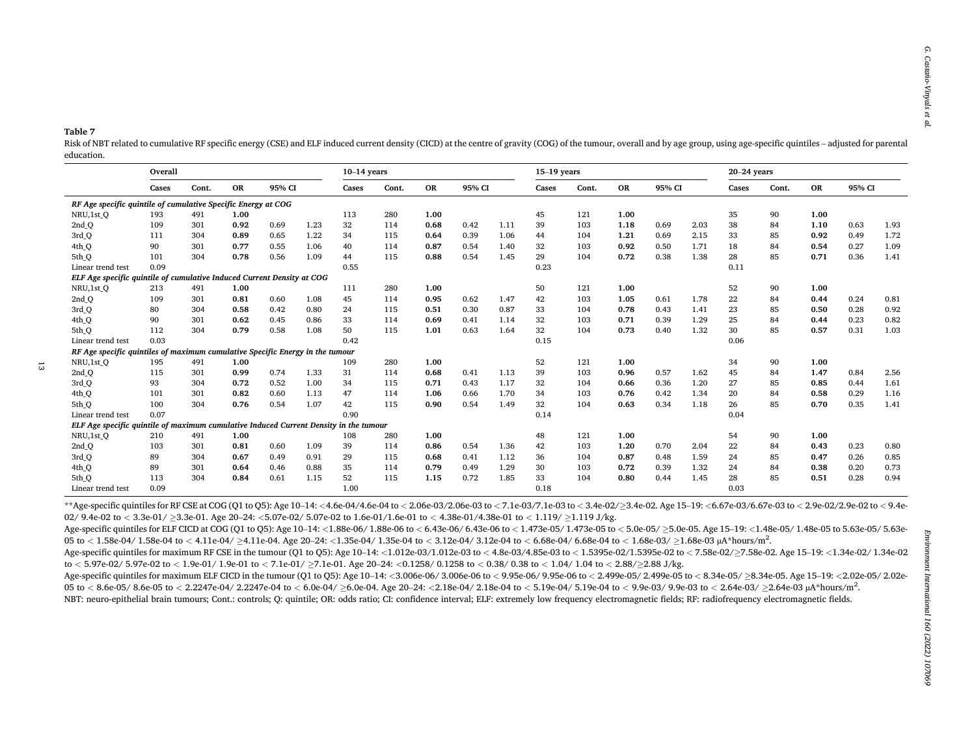<span id="page-12-0"></span>**Table 7** 

Risk of NBT related to cumulative RF specific energy (CSE) and ELF induced current density (CICD) at the centre of gravity (COG) of the tumour, overall and by age group, using age-specific quintiles – adjusted for parental education.

|                                                                                       | Overall |       |           |        | $10-14$ vears |       |       |      |        | $15-19$ vears |       |       |           |        | $20-24$ years |       |       |           |        |      |
|---------------------------------------------------------------------------------------|---------|-------|-----------|--------|---------------|-------|-------|------|--------|---------------|-------|-------|-----------|--------|---------------|-------|-------|-----------|--------|------|
|                                                                                       | Cases   | Cont. | <b>OR</b> | 95% CI |               | Cases | Cont. | OR   | 95% CI |               | Cases | Cont. | <b>OR</b> | 95% CI |               | Cases | Cont. | <b>OR</b> | 95% CI |      |
| RF Age specific quintile of cumulative Specific Energy at COG                         |         |       |           |        |               |       |       |      |        |               |       |       |           |        |               |       |       |           |        |      |
| NRU,1st Q                                                                             | 193     | 491   | 1.00      |        |               | 113   | 280   | 1.00 |        |               | 45    | 121   | 1.00      |        |               | 35    | 90    | 1.00      |        |      |
| 2nd <sub>Q</sub>                                                                      | 109     | 301   | 0.92      | 0.69   | 1.23          | 32    | 114   | 0.68 | 0.42   | 1.11          | 39    | 103   | 1.18      | 0.69   | 2.03          | 38    | 84    | 1.10      | 0.63   | 1.93 |
| 3rd <sub>Q</sub>                                                                      | 111     | 304   | 0.89      | 0.65   | 1.22          | 34    | 115   | 0.64 | 0.39   | 1.06          | 44    | 104   | 1.21      | 0.69   | 2.15          | 33    | 85    | 0.92      | 0.49   | 1.72 |
| 4th_Q                                                                                 | 90      | 301   | 0.77      | 0.55   | 1.06          | 40    | 114   | 0.87 | 0.54   | 1.40          | 32    | 103   | 0.92      | 0.50   | 1.71          | 18    | 84    | 0.54      | 0.27   | 1.09 |
| 5th_Q                                                                                 | 101     | 304   | 0.78      | 0.56   | 1.09          | 44    | 115   | 0.88 | 0.54   | 1.45          | 29    | 104   | 0.72      | 0.38   | 1.38          | 28    | 85    | 0.71      | 0.36   | 1.41 |
| Linear trend test                                                                     | 0.09    |       |           |        |               | 0.55  |       |      |        |               | 0.23  |       |           |        |               | 0.11  |       |           |        |      |
| ELF Age specific quintile of cumulative Induced Current Density at COG                |         |       |           |        |               |       |       |      |        |               |       |       |           |        |               |       |       |           |        |      |
| NRU,1st Q                                                                             | 213     | 491   | 1.00      |        |               | 111   | 280   | 1.00 |        |               | 50    | 121   | 1.00      |        |               | 52    | 90    | 1.00      |        |      |
| 2nd <sub>Q</sub>                                                                      | 109     | 301   | 0.81      | 0.60   | 1.08          | 45    | 114   | 0.95 | 0.62   | 1.47          | 42    | 103   | 1.05      | 0.61   | 1.78          | 22    | 84    | 0.44      | 0.24   | 0.81 |
| 3rd_Q                                                                                 | 80      | 304   | 0.58      | 0.42   | 0.80          | 24    | 115   | 0.51 | 0.30   | 0.87          | 33    | 104   | 0.78      | 0.43   | 1.41          | 23    | 85    | 0.50      | 0.28   | 0.92 |
| 4th_Q                                                                                 | 90      | 301   | 0.62      | 0.45   | 0.86          | 33    | 114   | 0.69 | 0.41   | 1.14          | 32    | 103   | 0.71      | 0.39   | 1.29          | 25    | 84    | 0.44      | 0.23   | 0.82 |
| 5th <sub>Q</sub>                                                                      | 112     | 304   | 0.79      | 0.58   | 1.08          | 50    | 115   | 1.01 | 0.63   | 1.64          | 32    | 104   | 0.73      | 0.40   | 1.32          | 30    | 85    | 0.57      | 0.31   | 1.03 |
| Linear trend test                                                                     | 0.03    |       |           |        |               | 0.42  |       |      |        |               | 0.15  |       |           |        |               | 0.06  |       |           |        |      |
| RF Age specific quintiles of maximum cumulative Specific Energy in the tumour         |         |       |           |        |               |       |       |      |        |               |       |       |           |        |               |       |       |           |        |      |
| NRU,1st Q                                                                             | 195     | 491   | 1.00      |        |               | 109   | 280   | 1.00 |        |               | 52    | 121   | 1.00      |        |               | 34    | 90    | 1.00      |        |      |
| 2nd <sub>Q</sub>                                                                      | 115     | 301   | 0.99      | 0.74   | 1.33          | 31    | 114   | 0.68 | 0.41   | 1.13          | 39    | 103   | 0.96      | 0.57   | 1.62          | 45    | 84    | 1.47      | 0.84   | 2.56 |
| 3rd <sub>Q</sub>                                                                      | 93      | 304   | 0.72      | 0.52   | 1.00          | 34    | 115   | 0.71 | 0.43   | 1.17          | 32    | 104   | 0.66      | 0.36   | 1.20          | 27    | 85    | 0.85      | 0.44   | 1.61 |
| 4th <sub>Q</sub>                                                                      | 101     | 301   | 0.82      | 0.60   | 1.13          | 47    | 114   | 1.06 | 0.66   | 1.70          | 34    | 103   | 0.76      | 0.42   | 1.34          | 20    | 84    | 0.58      | 0.29   | 1.16 |
| 5th <sub>Q</sub>                                                                      | 100     | 304   | 0.76      | 0.54   | 1.07          | 42    | 115   | 0.90 | 0.54   | 1.49          | 32    | 104   | 0.63      | 0.34   | 1.18          | 26    | 85    | 0.70      | 0.35   | 1.41 |
| Linear trend test                                                                     | 0.07    |       |           |        |               | 0.90  |       |      |        |               | 0.14  |       |           |        |               | 0.04  |       |           |        |      |
| ELF Age specific quintile of maximum cumulative Induced Current Density in the tumour |         |       |           |        |               |       |       |      |        |               |       |       |           |        |               |       |       |           |        |      |
| NRU,1st_Q                                                                             | 210     | 491   | 1.00      |        |               | 108   | 280   | 1.00 |        |               | 48    | 121   | 1.00      |        |               | 54    | 90    | 1.00      |        |      |
| 2nd <sub>Q</sub>                                                                      | 103     | 301   | 0.81      | 0.60   | 1.09          | 39    | 114   | 0.86 | 0.54   | 1.36          | 42    | 103   | 1.20      | 0.70   | 2.04          | 22    | 84    | 0.43      | 0.23   | 0.80 |
| 3rd <sub>Q</sub>                                                                      | 89      | 304   | 0.67      | 0.49   | 0.91          | 29    | 115   | 0.68 | 0.41   | 1.12          | 36    | 104   | 0.87      | 0.48   | 1.59          | 24    | 85    | 0.47      | 0.26   | 0.85 |
| 4th Q                                                                                 | 89      | 301   | 0.64      | 0.46   | 0.88          | 35    | 114   | 0.79 | 0.49   | 1.29          | 30    | 103   | 0.72      | 0.39   | 1.32          | 24    | 84    | 0.38      | 0.20   | 0.73 |
| 5th Q                                                                                 | 113     | 304   | 0.84      | 0.61   | 1.15          | 52    | 115   | 1.15 | 0.72   | 1.85          | 33    | 104   | 0.80      | 0.44   | 1.45          | 28    | 85    | 0.51      | 0.28   | 0.94 |
| Linear trend test                                                                     | 0.09    |       |           |        |               | 1.00  |       |      |        |               | 0.18  |       |           |        |               | 0.03  |       |           |        |      |

\*\* Age-specific quintiles for RF CSE at COG (Q1 to Q5): Age 10-14: <4.6e-04/4.6e-04 to < 2.06e-03/2.06e-03 to < 7.1e-03/7.1e-03 to < 3.4e-02/23.4e-02. Age 15-19: <6.67e-03/6.67e-03 to < 2.9e-02/2.9e-02 to < 9.4e-02/ 9.4e-02 to *<* 3.3e-01/ ≥3.3e-01. Age 20–24: *<*5.07e-02/ 5.07e-02 to 1.6e-01/1.6e-01 to *<sup>&</sup>lt;* 4.38e-01/4.38e-01 to *<sup>&</sup>lt;* 1.119/ ≥1.119 J/kg.

Age-specific quintiles for ELF CICD at COG (O1 to O5); Age 10-14; <1.88e-06/1.88e-06 to <6.43e-06/6.43e-06 to <1.473e-05/1.473e-05 to <5.0e-05/>5.62e-05->5.0e-05, Age 15-19; <1.48e-05/1.48e-05 to 5.63e-05/5.63e-06/6.43e-05 05 to *<* 1.58e-04/ 1.58e-04 to *<sup>&</sup>lt;* 4.11e-04/ ≥4.11e-04. Age 20–24: *<*1.35e-04/ 1.35e-04 to *<sup>&</sup>lt;* 3.12e-04/ 3.12e-04 to *<sup>&</sup>lt;* 6.68e-04/ 6.68e-04 to *<sup>&</sup>lt;* 1.68e-03/ ≥1.68e-03 µA\*hours/m2.

Age-specific quintiles for maximum RF CSE in the tumour (O1 to O5): Age 10-14: <1.012e-03/1.012e-03 to < 4.8e-03/4.85e-03 to < 1.5395e-02/1.5395e-02 to < 7.58e-02/>7.58e-02. Age 15-19: <1.34e-02/1.34e-02/1.34e-02 to *<* 5.97e-02/ 5.97e-02 to *<sup>&</sup>lt;* 1.9e-01/ 1.9e-01 to *<sup>&</sup>lt;* 7.1e-01/ ≥7.1e-01. Age 20–24: *<*0.1258/ 0.1258 to *<sup>&</sup>lt;* 0.38/ 0.38 to *<sup>&</sup>lt;* 1.04/ 1.04 to *<sup>&</sup>lt;* 2.88/≥2.88 J/kg.

Age-specific quintiles for maximum ELF CICD in the tumour (Q1 to Q5): Age 10-14: <3.006e-06/ 3.006e-06 to < 9.95e-06/ 9.95e-06 to < 2.499e-05/ 2.499e-05 to < 8.34e-05/ 2.834e-05/ 2.834e-05. Age 15-19: <2.02e-05/ 2.02e-05/ 05 to < 8.6e-05/8.6e-05 to < 2.2247e-04/2.2247e-04 to < 6.0e-04/ >6.0e-04. Age 20-24: <2.18e-04/ 2.18e-04 to < 5.19e-04/ 5.19e-04 to < 9.9e-03/ 9.9e-03 to < 2.64e-03/ >2.64e-03/  $\geq$ .64e-03  $\mu$ A\*hours/m<sup>2</sup>.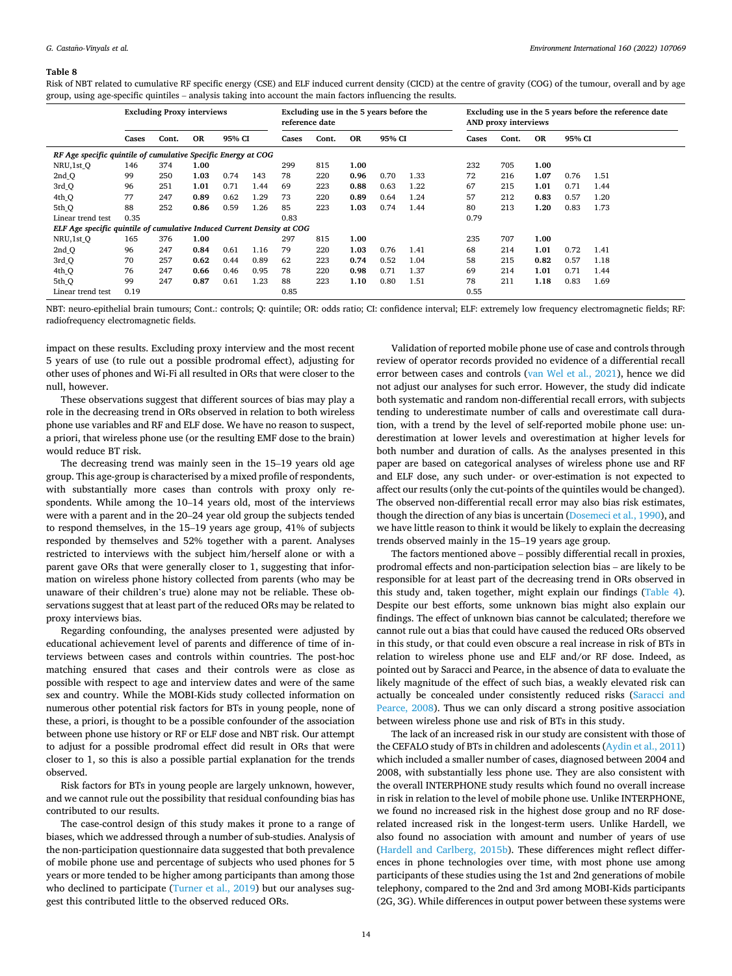#### <span id="page-13-0"></span>**Table 8**

Risk of NBT related to cumulative RF specific energy (CSE) and ELF induced current density (CICD) at the centre of gravity (COG) of the tumour, overall and by age group, using age-specific quintiles – analysis taking into account the main factors influencing the results.

|                                                                        | <b>Excluding Proxy interviews</b> |       |           |        |      | Excluding use in the 5 years before the<br>reference date |     |       |       |           | Excluding use in the 5 years before the reference date<br>AND proxy interviews |     |      |      |      |
|------------------------------------------------------------------------|-----------------------------------|-------|-----------|--------|------|-----------------------------------------------------------|-----|-------|-------|-----------|--------------------------------------------------------------------------------|-----|------|------|------|
|                                                                        | Cases                             | Cont. | <b>OR</b> | 95% CI |      | 95% CI<br><b>OR</b><br>Cont.<br>Cases                     |     | Cases | Cont. | <b>OR</b> | 95% CI                                                                         |     |      |      |      |
| RF Age specific quintile of cumulative Specific Energy at COG          |                                   |       |           |        |      |                                                           |     |       |       |           |                                                                                |     |      |      |      |
| NRU,1st Q                                                              | 146                               | 374   | 1.00      |        |      | 299                                                       | 815 | 1.00  |       |           | 232                                                                            | 705 | 1.00 |      |      |
| 2nd Q                                                                  | 99                                | 250   | 1.03      | 0.74   | 143  | 78                                                        | 220 | 0.96  | 0.70  | 1.33      | 72                                                                             | 216 | 1.07 | 0.76 | 1.51 |
| 3rd Q                                                                  | 96                                | 251   | 1.01      | 0.71   | 1.44 | 69                                                        | 223 | 0.88  | 0.63  | 1.22      | 67                                                                             | 215 | 1.01 | 0.71 | 1.44 |
| 4th <sub>Q</sub>                                                       | 77                                | 247   | 0.89      | 0.62   | 1.29 | 73                                                        | 220 | 0.89  | 0.64  | 1.24      | 57                                                                             | 212 | 0.83 | 0.57 | 1.20 |
| 5th <sub>Q</sub>                                                       | 88                                | 252   | 0.86      | 0.59   | 1.26 | 85                                                        | 223 | 1.03  | 0.74  | 1.44      | 80                                                                             | 213 | 1.20 | 0.83 | 1.73 |
| Linear trend test                                                      | 0.35                              |       |           |        |      | 0.83                                                      |     |       |       |           | 0.79                                                                           |     |      |      |      |
| ELF Age specific quintile of cumulative Induced Current Density at COG |                                   |       |           |        |      |                                                           |     |       |       |           |                                                                                |     |      |      |      |
| NRU,1st Q                                                              | 165                               | 376   | 1.00      |        |      | 297                                                       | 815 | 1.00  |       |           | 235                                                                            | 707 | 1.00 |      |      |
| 2nd Q                                                                  | 96                                | 247   | 0.84      | 0.61   | 1.16 | 79                                                        | 220 | 1.03  | 0.76  | 1.41      | 68                                                                             | 214 | 1.01 | 0.72 | 1.41 |
| 3rd Q                                                                  | 70                                | 257   | 0.62      | 0.44   | 0.89 | 62                                                        | 223 | 0.74  | 0.52  | 1.04      | 58                                                                             | 215 | 0.82 | 0.57 | 1.18 |
| 4th <sub>Q</sub>                                                       | 76                                | 247   | 0.66      | 0.46   | 0.95 | 78                                                        | 220 | 0.98  | 0.71  | 1.37      | 69                                                                             | 214 | 1.01 | 0.71 | 1.44 |
| 5th <sub>Q</sub>                                                       | 99                                | 247   | 0.87      | 0.61   | 1.23 | 88                                                        | 223 | 1.10  | 0.80  | 1.51      | 78                                                                             | 211 | 1.18 | 0.83 | 1.69 |
| Linear trend test                                                      | 0.19                              |       |           |        |      | 0.85                                                      |     |       |       |           | 0.55                                                                           |     |      |      |      |

NBT: neuro-epithelial brain tumours; Cont.: controls; Q: quintile; OR: odds ratio; CI: confidence interval; ELF: extremely low frequency electromagnetic fields; RF: radiofrequency electromagnetic fields.

impact on these results. Excluding proxy interview and the most recent 5 years of use (to rule out a possible prodromal effect), adjusting for other uses of phones and Wi-Fi all resulted in ORs that were closer to the null, however.

These observations suggest that different sources of bias may play a role in the decreasing trend in ORs observed in relation to both wireless phone use variables and RF and ELF dose. We have no reason to suspect, a priori, that wireless phone use (or the resulting EMF dose to the brain) would reduce BT risk.

The decreasing trend was mainly seen in the 15–19 years old age group. This age-group is characterised by a mixed profile of respondents, with substantially more cases than controls with proxy only respondents. While among the 10–14 years old, most of the interviews were with a parent and in the 20–24 year old group the subjects tended to respond themselves, in the 15–19 years age group, 41% of subjects responded by themselves and 52% together with a parent. Analyses restricted to interviews with the subject him/herself alone or with a parent gave ORs that were generally closer to 1, suggesting that information on wireless phone history collected from parents (who may be unaware of their children's true) alone may not be reliable. These observations suggest that at least part of the reduced ORs may be related to proxy interviews bias.

Regarding confounding, the analyses presented were adjusted by educational achievement level of parents and difference of time of interviews between cases and controls within countries. The post-hoc matching ensured that cases and their controls were as close as possible with respect to age and interview dates and were of the same sex and country. While the MOBI-Kids study collected information on numerous other potential risk factors for BTs in young people, none of these, a priori, is thought to be a possible confounder of the association between phone use history or RF or ELF dose and NBT risk. Our attempt to adjust for a possible prodromal effect did result in ORs that were closer to 1, so this is also a possible partial explanation for the trends observed.

Risk factors for BTs in young people are largely unknown, however, and we cannot rule out the possibility that residual confounding bias has contributed to our results.

The case-control design of this study makes it prone to a range of biases, which we addressed through a number of sub-studies. Analysis of the non-participation questionnaire data suggested that both prevalence of mobile phone use and percentage of subjects who used phones for 5 years or more tended to be higher among participants than among those who declined to participate ([Turner et al., 2019\)](#page-19-0) but our analyses suggest this contributed little to the observed reduced ORs.

Validation of reported mobile phone use of case and controls through review of operator records provided no evidence of a differential recall error between cases and controls ([van Wel et al., 2021](#page-19-0)), hence we did not adjust our analyses for such error. However, the study did indicate both systematic and random non-differential recall errors, with subjects tending to underestimate number of calls and overestimate call duration, with a trend by the level of self-reported mobile phone use: underestimation at lower levels and overestimation at higher levels for both number and duration of calls. As the analyses presented in this paper are based on categorical analyses of wireless phone use and RF and ELF dose, any such under- or over-estimation is not expected to affect our results (only the cut-points of the quintiles would be changed). The observed non-differential recall error may also bias risk estimates, though the direction of any bias is uncertain ([Dosemeci et al., 1990\)](#page-18-0), and we have little reason to think it would be likely to explain the decreasing trends observed mainly in the 15–19 years age group.

The factors mentioned above – possibly differential recall in proxies, prodromal effects and non-participation selection bias – are likely to be responsible for at least part of the decreasing trend in ORs observed in this study and, taken together, might explain our findings [\(Table 4](#page-8-0)). Despite our best efforts, some unknown bias might also explain our findings. The effect of unknown bias cannot be calculated; therefore we cannot rule out a bias that could have caused the reduced ORs observed in this study, or that could even obscure a real increase in risk of BTs in relation to wireless phone use and ELF and/or RF dose. Indeed, as pointed out by Saracci and Pearce, in the absence of data to evaluate the likely magnitude of the effect of such bias, a weakly elevated risk can actually be concealed under consistently reduced risks [\(Saracci and](#page-19-0)  [Pearce, 2008](#page-19-0)). Thus we can only discard a strong positive association between wireless phone use and risk of BTs in this study.

The lack of an increased risk in our study are consistent with those of the CEFALO study of BTs in children and adolescents [\(Aydin et al., 2011\)](#page-18-0) which included a smaller number of cases, diagnosed between 2004 and 2008, with substantially less phone use. They are also consistent with the overall INTERPHONE study results which found no overall increase in risk in relation to the level of mobile phone use. Unlike INTERPHONE, we found no increased risk in the highest dose group and no RF doserelated increased risk in the longest-term users. Unlike Hardell, we also found no association with amount and number of years of use ([Hardell and Carlberg, 2015b](#page-18-0)). These differences might reflect differences in phone technologies over time, with most phone use among participants of these studies using the 1st and 2nd generations of mobile telephony, compared to the 2nd and 3rd among MOBI-Kids participants (2G, 3G). While differences in output power between these systems were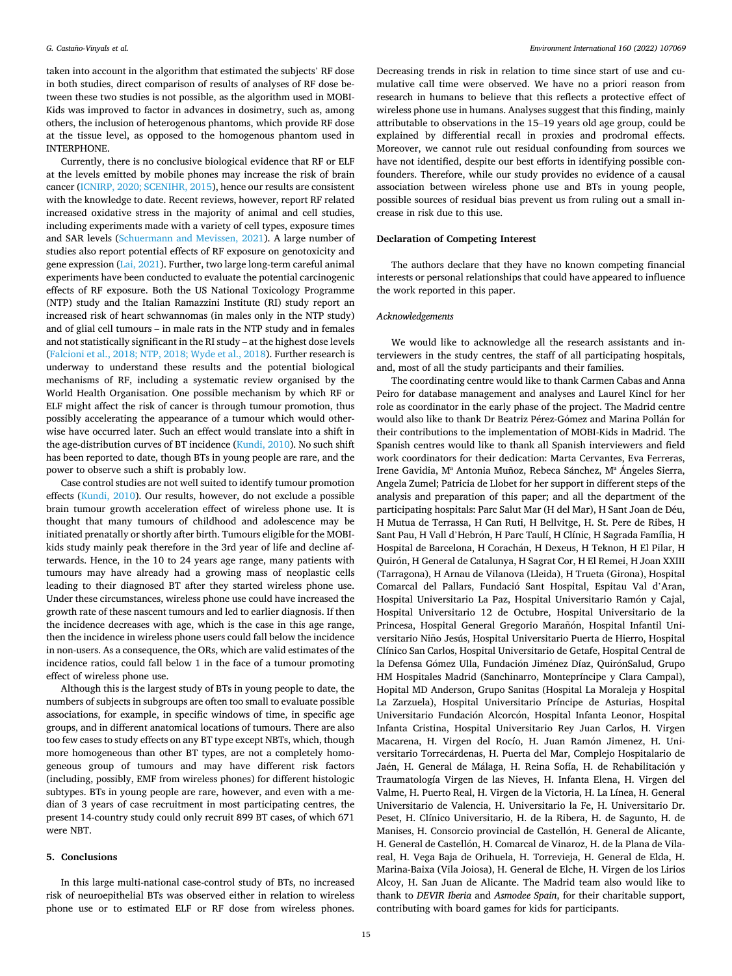taken into account in the algorithm that estimated the subjects' RF dose in both studies, direct comparison of results of analyses of RF dose between these two studies is not possible, as the algorithm used in MOBI-Kids was improved to factor in advances in dosimetry, such as, among others, the inclusion of heterogenous phantoms, which provide RF dose at the tissue level, as opposed to the homogenous phantom used in INTERPHONE.

Currently, there is no conclusive biological evidence that RF or ELF at the levels emitted by mobile phones may increase the risk of brain cancer [\(ICNIRP, 2020; SCENIHR, 2015\)](#page-18-0), hence our results are consistent with the knowledge to date. Recent reviews, however, report RF related increased oxidative stress in the majority of animal and cell studies, including experiments made with a variety of cell types, exposure times and SAR levels ([Schuermann and Mevissen, 2021\)](#page-19-0). A large number of studies also report potential effects of RF exposure on genotoxicity and gene expression ([Lai, 2021](#page-19-0)). Further, two large long-term careful animal experiments have been conducted to evaluate the potential carcinogenic effects of RF exposure. Both the US National Toxicology Programme (NTP) study and the Italian Ramazzini Institute (RI) study report an increased risk of heart schwannomas (in males only in the NTP study) and of glial cell tumours – in male rats in the NTP study and in females and not statistically significant in the RI study – at the highest dose levels ([Falcioni et al., 2018; NTP, 2018; Wyde et al., 2018](#page-18-0)). Further research is underway to understand these results and the potential biological mechanisms of RF, including a systematic review organised by the World Health Organisation. One possible mechanism by which RF or ELF might affect the risk of cancer is through tumour promotion, thus possibly accelerating the appearance of a tumour which would otherwise have occurred later. Such an effect would translate into a shift in the age-distribution curves of BT incidence ([Kundi, 2010\)](#page-19-0). No such shift has been reported to date, though BTs in young people are rare, and the power to observe such a shift is probably low.

Case control studies are not well suited to identify tumour promotion effects [\(Kundi, 2010](#page-19-0)). Our results, however, do not exclude a possible brain tumour growth acceleration effect of wireless phone use. It is thought that many tumours of childhood and adolescence may be initiated prenatally or shortly after birth. Tumours eligible for the MOBIkids study mainly peak therefore in the 3rd year of life and decline afterwards. Hence, in the 10 to 24 years age range, many patients with tumours may have already had a growing mass of neoplastic cells leading to their diagnosed BT after they started wireless phone use. Under these circumstances, wireless phone use could have increased the growth rate of these nascent tumours and led to earlier diagnosis. If then the incidence decreases with age, which is the case in this age range, then the incidence in wireless phone users could fall below the incidence in non-users. As a consequence, the ORs, which are valid estimates of the incidence ratios, could fall below 1 in the face of a tumour promoting effect of wireless phone use.

Although this is the largest study of BTs in young people to date, the numbers of subjects in subgroups are often too small to evaluate possible associations, for example, in specific windows of time, in specific age groups, and in different anatomical locations of tumours. There are also too few cases to study effects on any BT type except NBTs, which, though more homogeneous than other BT types, are not a completely homogeneous group of tumours and may have different risk factors (including, possibly, EMF from wireless phones) for different histologic subtypes. BTs in young people are rare, however, and even with a median of 3 years of case recruitment in most participating centres, the present 14-country study could only recruit 899 BT cases, of which 671 were NBT.

## **5. Conclusions**

In this large multi-national case-control study of BTs, no increased risk of neuroepithelial BTs was observed either in relation to wireless phone use or to estimated ELF or RF dose from wireless phones.

Decreasing trends in risk in relation to time since start of use and cumulative call time were observed. We have no a priori reason from research in humans to believe that this reflects a protective effect of wireless phone use in humans. Analyses suggest that this finding, mainly attributable to observations in the 15–19 years old age group, could be explained by differential recall in proxies and prodromal effects. Moreover, we cannot rule out residual confounding from sources we have not identified, despite our best efforts in identifying possible confounders. Therefore, while our study provides no evidence of a causal association between wireless phone use and BTs in young people, possible sources of residual bias prevent us from ruling out a small increase in risk due to this use.

#### **Declaration of Competing Interest**

The authors declare that they have no known competing financial interests or personal relationships that could have appeared to influence the work reported in this paper.

## *Acknowledgements*

We would like to acknowledge all the research assistants and interviewers in the study centres, the staff of all participating hospitals, and, most of all the study participants and their families.

The coordinating centre would like to thank Carmen Cabas and Anna Peiro for database management and analyses and Laurel Kincl for her role as coordinator in the early phase of the project. The Madrid centre would also like to thank Dr Beatriz Pérez-Gómez and Marina Pollán for their contributions to the implementation of MOBI-Kids in Madrid. The Spanish centres would like to thank all Spanish interviewers and field work coordinators for their dedication: Marta Cervantes, Eva Ferreras, Irene Gavidia, Mª Antonia Muñoz, Rebeca Sánchez, Mª Ángeles Sierra, Angela Zumel; Patricia de Llobet for her support in different steps of the analysis and preparation of this paper; and all the department of the participating hospitals: Parc Salut Mar (H del Mar), H Sant Joan de Déu, H Mutua de Terrassa, H Can Ruti, H Bellvitge, H. St. Pere de Ribes, H Sant Pau, H Vall d'Hebrón, H Parc Taulí, H Clínic, H Sagrada Família, H Hospital de Barcelona, H Corachán, H Dexeus, H Teknon, H El Pilar, H Quirón, H General de Catalunya, H Sagrat Cor, H El Remei, H Joan XXIII (Tarragona), H Arnau de Vilanova (Lleida), H Trueta (Girona), Hospital Comarcal del Pallars, Fundació Sant Hospital, Espitau Val d'Aran, Hospital Universitario La Paz, Hospital Universitario Ramón y Cajal, Hospital Universitario 12 de Octubre, Hospital Universitario de la Princesa, Hospital General Gregorio Marañón, Hospital Infantil Universitario Niño Jesús, Hospital Universitario Puerta de Hierro, Hospital Clínico San Carlos, Hospital Universitario de Getafe, Hospital Central de la Defensa Gómez Ulla, Fundación Jiménez Díaz, QuirónSalud, Grupo HM Hospitales Madrid (Sanchinarro, Montepríncipe y Clara Campal), Hopital MD Anderson, Grupo Sanitas (Hospital La Moraleja y Hospital La Zarzuela), Hospital Universitario Príncipe de Asturias, Hospital Universitario Fundación Alcorcón, Hospital Infanta Leonor, Hospital Infanta Cristina, Hospital Universitario Rey Juan Carlos, H. Virgen Macarena, H. Virgen del Rocío, H. Juan Ramón Jimenez, H. Universitario Torrecárdenas, H. Puerta del Mar, Complejo Hospitalario de Jaén, H. General de Málaga, H. Reina Sofía, H. de Rehabilitación y Traumatología Virgen de las Nieves, H. Infanta Elena, H. Virgen del Valme, H. Puerto Real, H. Virgen de la Victoria, H. La Línea, H. General Universitario de Valencia, H. Universitario la Fe, H. Universitario Dr. Peset, H. Clínico Universitario, H. de la Ribera, H. de Sagunto, H. de Manises, H. Consorcio provincial de Castellón, H. General de Alicante, H. General de Castellón, H. Comarcal de Vinaroz, H. de la Plana de Vilareal, H. Vega Baja de Orihuela, H. Torrevieja, H. General de Elda, H. Marina-Baixa (Vila Joiosa), H. General de Elche, H. Virgen de los Lirios Alcoy, H. San Juan de Alicante. The Madrid team also would like to thank to *DEVIR Iberia* and *Asmodee Spain*, for their charitable support, contributing with board games for kids for participants.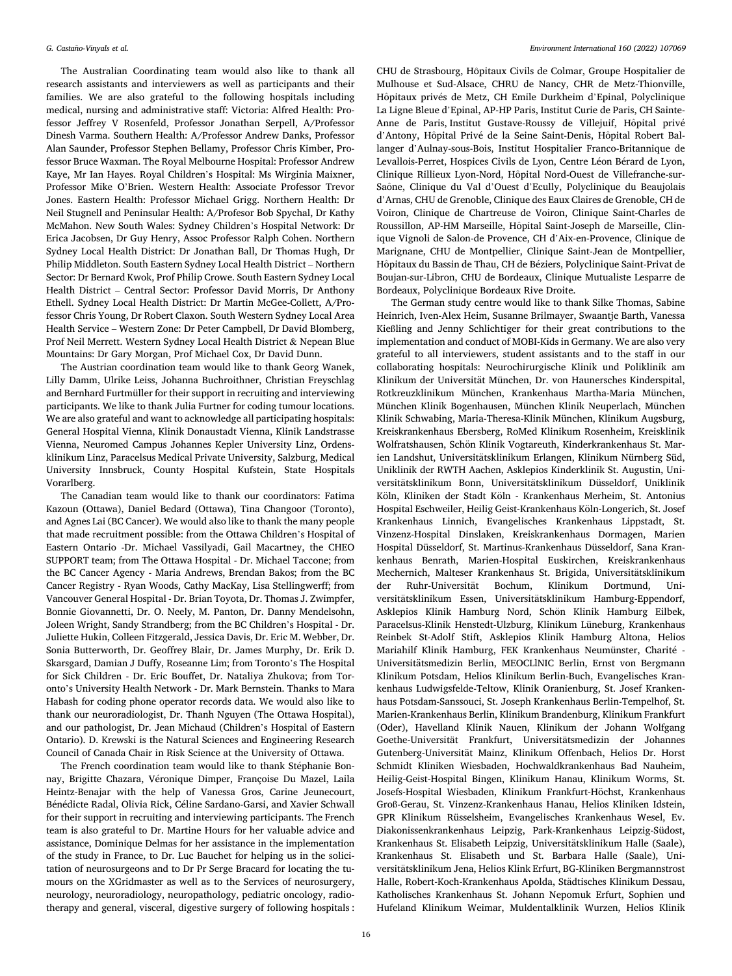The Australian Coordinating team would also like to thank all research assistants and interviewers as well as participants and their families. We are also grateful to the following hospitals including medical, nursing and administrative staff: Victoria: Alfred Health: Professor Jeffrey V Rosenfeld, Professor Jonathan Serpell, A/Professor Dinesh Varma. Southern Health: A/Professor Andrew Danks, Professor Alan Saunder, Professor Stephen Bellamy, Professor Chris Kimber, Professor Bruce Waxman. The Royal Melbourne Hospital: Professor Andrew Kaye, Mr Ian Hayes. Royal Children's Hospital: Ms Wirginia Maixner, Professor Mike O'Brien. Western Health: Associate Professor Trevor Jones. Eastern Health: Professor Michael Grigg. Northern Health: Dr Neil Stugnell and Peninsular Health: A/Profesor Bob Spychal, Dr Kathy McMahon. New South Wales: Sydney Children's Hospital Network: Dr Erica Jacobsen, Dr Guy Henry, Assoc Professor Ralph Cohen. Northern Sydney Local Health District: Dr Jonathan Ball, Dr Thomas Hugh, Dr Philip Middleton. South Eastern Sydney Local Health District – Northern Sector: Dr Bernard Kwok, Prof Philip Crowe. South Eastern Sydney Local Health District – Central Sector: Professor David Morris, Dr Anthony Ethell. Sydney Local Health District: Dr Martin McGee-Collett, A/Professor Chris Young, Dr Robert Claxon. South Western Sydney Local Area Health Service – Western Zone: Dr Peter Campbell, Dr David Blomberg, Prof Neil Merrett. Western Sydney Local Health District & Nepean Blue Mountains: Dr Gary Morgan, Prof Michael Cox, Dr David Dunn.

The Austrian coordination team would like to thank Georg Wanek, Lilly Damm, Ulrike Leiss, Johanna Buchroithner, Christian Freyschlag and Bernhard Furtmüller for their support in recruiting and interviewing participants. We like to thank Julia Furtner for coding tumour locations. We are also grateful and want to acknowledge all participating hospitals: General Hospital Vienna, Klinik Donaustadt Vienna, Klinik Landstrasse Vienna, Neuromed Campus Johannes Kepler University Linz, Ordensklinikum Linz, Paracelsus Medical Private University, Salzburg, Medical University Innsbruck, County Hospital Kufstein, State Hospitals Vorarlberg.

The Canadian team would like to thank our coordinators: Fatima Kazoun (Ottawa), Daniel Bedard (Ottawa), Tina Changoor (Toronto), and Agnes Lai (BC Cancer). We would also like to thank the many people that made recruitment possible: from the Ottawa Children's Hospital of Eastern Ontario -Dr. Michael Vassilyadi, Gail Macartney, the CHEO SUPPORT team; from The Ottawa Hospital - Dr. Michael Taccone; from the BC Cancer Agency - Maria Andrews, Brendan Bakos; from the BC Cancer Registry - Ryan Woods, Cathy MacKay, Lisa Stellingwerff; from Vancouver General Hospital - Dr. Brian Toyota, Dr. Thomas J. Zwimpfer, Bonnie Giovannetti, Dr. O. Neely, M. Panton, Dr. Danny Mendelsohn, Joleen Wright, Sandy Strandberg; from the BC Children's Hospital - Dr. Juliette Hukin, Colleen Fitzgerald, Jessica Davis, Dr. Eric M. Webber, Dr. Sonia Butterworth, Dr. Geoffrey Blair, Dr. James Murphy, Dr. Erik D. Skarsgard, Damian J Duffy, Roseanne Lim; from Toronto's The Hospital for Sick Children - Dr. Eric Bouffet, Dr. Nataliya Zhukova; from Toronto's University Health Network - Dr. Mark Bernstein. Thanks to Mara Habash for coding phone operator records data. We would also like to thank our neuroradiologist, Dr. Thanh Nguyen (The Ottawa Hospital), and our pathologist, Dr. Jean Michaud (Children's Hospital of Eastern Ontario). D. Krewski is the Natural Sciences and Engineering Research Council of Canada Chair in Risk Science at the University of Ottawa.

The French coordination team would like to thank Stéphanie Bonnay, Brigitte Chazara, Véronique Dimper, Françoise Du Mazel, Laila Heintz-Benajar with the help of Vanessa Gros, Carine Jeunecourt, Bénédicte Radal, Olivia Rick, Céline Sardano-Garsi, and Xavier Schwall for their support in recruiting and interviewing participants. The French team is also grateful to Dr. Martine Hours for her valuable advice and assistance, Dominique Delmas for her assistance in the implementation of the study in France, to Dr. Luc Bauchet for helping us in the solicitation of neurosurgeons and to Dr Pr Serge Bracard for locating the tumours on the XGridmaster as well as to the Services of neurosurgery, neurology, neuroradiology, neuropathology, pediatric oncology, radiotherapy and general, visceral, digestive surgery of following hospitals :

CHU de Strasbourg, Hôpitaux Civils de Colmar, Groupe Hospitalier de Mulhouse et Sud-Alsace, CHRU de Nancy, CHR de Metz-Thionville, Hôpitaux privés de Metz, CH Emile Durkheim d'Epinal, Polyclinique La Ligne Bleue d'Epinal, AP-HP Paris, Institut Curie de Paris, CH Sainte-Anne de Paris, Institut Gustave-Roussy de Villejuif, Hôpital privé d'Antony, Hôpital Privé de la Seine Saint-Denis, Hôpital Robert Ballanger d'Aulnay-sous-Bois, Institut Hospitalier Franco-Britannique de Levallois-Perret, Hospices Civils de Lyon, Centre Léon Bérard de Lyon, Clinique Rillieux Lyon-Nord, Hôpital Nord-Ouest de Villefranche-sur-Saône, Clinique du Val d'Ouest d'Ecully, Polyclinique du Beaujolais d'Arnas, CHU de Grenoble, Clinique des Eaux Claires de Grenoble, CH de Voiron, Clinique de Chartreuse de Voiron, Clinique Saint-Charles de Roussillon, AP-HM Marseille, Hôpital Saint-Joseph de Marseille, Clinique Vignoli de Salon-de Provence, CH d'Aix-en-Provence, Clinique de Marignane, CHU de Montpellier, Clinique Saint-Jean de Montpellier, Hôpitaux du Bassin de Thau, CH de Béziers, Polyclinique Saint-Privat de Boujan-sur-Libron, CHU de Bordeaux, Clinique Mutualiste Lesparre de Bordeaux, Polyclinique Bordeaux Rive Droite.

The German study centre would like to thank Silke Thomas, Sabine Heinrich, Iven-Alex Heim, Susanne Brilmayer, Swaantje Barth, Vanessa Kießling and Jenny Schlichtiger for their great contributions to the implementation and conduct of MOBI-Kids in Germany. We are also very grateful to all interviewers, student assistants and to the staff in our collaborating hospitals: Neurochirurgische Klinik und Poliklinik am Klinikum der Universität München, Dr. von Haunersches Kinderspital, Rotkreuzklinikum München, Krankenhaus Martha-Maria München, München Klinik Bogenhausen, München Klinik Neuperlach, München Klinik Schwabing, Maria-Theresa-Klinik München, Klinikum Augsburg, Kreiskrankenhaus Ebersberg, RoMed Klinikum Rosenheim, Kreisklinik Wolfratshausen, Schön Klinik Vogtareuth, Kinderkrankenhaus St. Marien Landshut, Universitätsklinikum Erlangen, Klinikum Nürnberg Süd, Uniklinik der RWTH Aachen, Asklepios Kinderklinik St. Augustin, Universitätsklinikum Bonn, Universitätsklinikum Düsseldorf, Uniklinik Köln, Kliniken der Stadt Köln - Krankenhaus Merheim, St. Antonius Hospital Eschweiler, Heilig Geist-Krankenhaus Köln-Longerich, St. Josef Krankenhaus Linnich, Evangelisches Krankenhaus Lippstadt, St. Vinzenz-Hospital Dinslaken, Kreiskrankenhaus Dormagen, Marien Hospital Düsseldorf, St. Martinus-Krankenhaus Düsseldorf, Sana Krankenhaus Benrath, Marien-Hospital Euskirchen, Kreiskrankenhaus Mechernich, Malteser Krankenhaus St. Brigida, Universitätsklinikum der Ruhr-Universität Bochum, Klinikum Dortmund, Universitätsklinikum Essen, Universitätsklinikum Hamburg-Eppendorf, Asklepios Klinik Hamburg Nord, Schön Klinik Hamburg Eilbek, Paracelsus-Klinik Henstedt-Ulzburg, Klinikum Lüneburg, Krankenhaus Reinbek St-Adolf Stift, Asklepios Klinik Hamburg Altona, Helios Mariahilf Klinik Hamburg, FEK Krankenhaus Neumünster, Charité -Universitätsmedizin Berlin, MEOCLINIC Berlin, Ernst von Bergmann Klinikum Potsdam, Helios Klinikum Berlin-Buch, Evangelisches Krankenhaus Ludwigsfelde-Teltow, Klinik Oranienburg, St. Josef Krankenhaus Potsdam-Sanssouci, St. Joseph Krankenhaus Berlin-Tempelhof, St. Marien-Krankenhaus Berlin, Klinikum Brandenburg, Klinikum Frankfurt (Oder), Havelland Klinik Nauen, Klinikum der Johann Wolfgang Goethe-Universität Frankfurt, Universitätsmedizin der Johannes Gutenberg-Universität Mainz, Klinikum Offenbach, Helios Dr. Horst Schmidt Kliniken Wiesbaden, Hochwaldkrankenhaus Bad Nauheim, Heilig-Geist-Hospital Bingen, Klinikum Hanau, Klinikum Worms, St. Josefs-Hospital Wiesbaden, Klinikum Frankfurt-Höchst, Krankenhaus Groß-Gerau, St. Vinzenz-Krankenhaus Hanau, Helios Kliniken Idstein, GPR Klinikum Rüsselsheim, Evangelisches Krankenhaus Wesel, Ev. Diakonissenkrankenhaus Leipzig, Park-Krankenhaus Leipzig-Südost, Krankenhaus St. Elisabeth Leipzig, Universitätsklinikum Halle (Saale), Krankenhaus St. Elisabeth und St. Barbara Halle (Saale), Universitätsklinikum Jena, Helios Klink Erfurt, BG-Kliniken Bergmannstrost Halle, Robert-Koch-Krankenhaus Apolda, Städtisches Klinikum Dessau, Katholisches Krankenhaus St. Johann Nepomuk Erfurt, Sophien und Hufeland Klinikum Weimar, Muldentalklinik Wurzen, Helios Klinik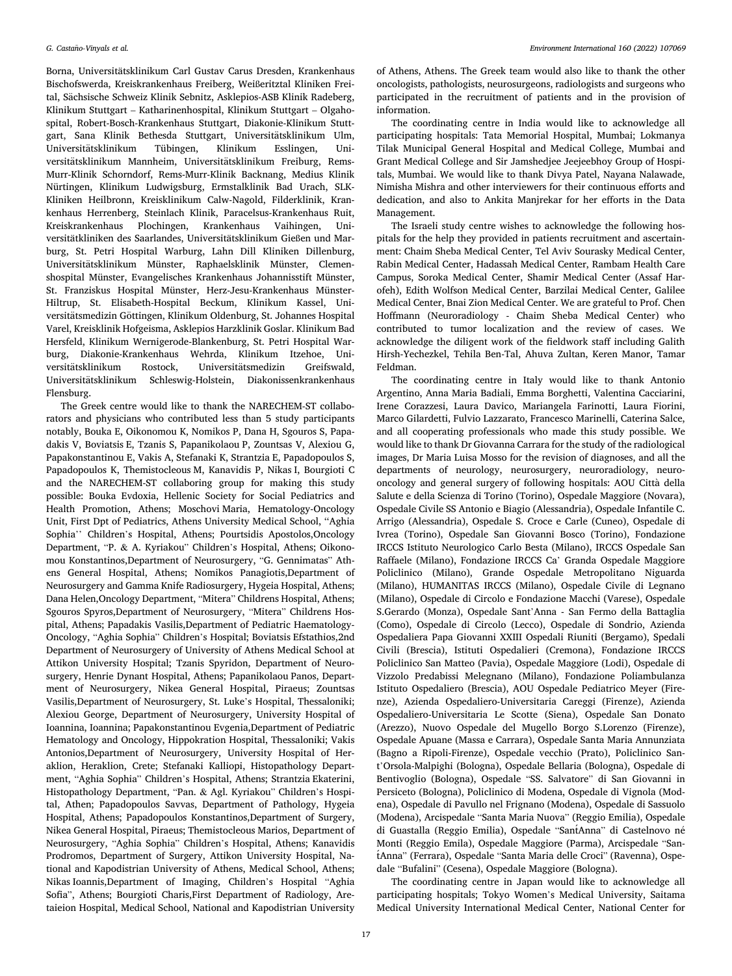Borna, Universitätsklinikum Carl Gustav Carus Dresden, Krankenhaus Bischofswerda, Kreiskrankenhaus Freiberg, Weißeritztal Kliniken Freital, Sächsische Schweiz Klinik Sebnitz, Asklepios-ASB Klinik Radeberg, Klinikum Stuttgart – Katharinenhospital, Klinikum Stuttgart – Olgahospital, Robert-Bosch-Krankenhaus Stuttgart, Diakonie-Klinikum Stuttgart, Sana Klinik Bethesda Stuttgart, Universitätsklinikum Ulm, Universitätsklinikum Tübingen, Klinikum Esslingen, Universitätsklinikum Mannheim, Universitätsklinikum Freiburg, Rems-Murr-Klinik Schorndorf, Rems-Murr-Klinik Backnang, Medius Klinik Nürtingen, Klinikum Ludwigsburg, Ermstalklinik Bad Urach, SLK-Kliniken Heilbronn, Kreisklinikum Calw-Nagold, Filderklinik, Krankenhaus Herrenberg, Steinlach Klinik, Paracelsus-Krankenhaus Ruit, Kreiskrankenhaus Plochingen, Krankenhaus Vaihingen, Universitätkliniken des Saarlandes, Universitätsklinikum Gießen und Marburg, St. Petri Hospital Warburg, Lahn Dill Kliniken Dillenburg, Universitätsklinikum Münster, Raphaelsklinik Münster, Clemenshospital Münster, Evangelisches Krankenhaus Johannisstift Münster, St. Franziskus Hospital Münster, Herz-Jesu-Krankenhaus Münster-Hiltrup, St. Elisabeth-Hospital Beckum, Klinikum Kassel, Universitätsmedizin Göttingen, Klinikum Oldenburg, St. Johannes Hospital Varel, Kreisklinik Hofgeisma, Asklepios Harzklinik Goslar. Klinikum Bad Hersfeld, Klinikum Wernigerode-Blankenburg, St. Petri Hospital Warburg, Diakonie-Krankenhaus Wehrda, Klinikum Itzehoe, Universitätsklinikum Rostock, Universitätsmedizin Greifswald, Universitatsklinikum ¨ Schleswig-Holstein, Diakonissenkrankenhaus Flensburg.

The Greek centre would like to thank the NARECHEM-ST collaborators and physicians who contributed less than 5 study participants notably, Bouka E, Oikonomou K, Nomikos P, Dana H, Sgouros S, Papadakis V, Boviatsis E, Tzanis S, Papanikolaou P, Zountsas V, Alexiou G, Papakonstantinou E, Vakis A, Stefanaki K, Strantzia E, Papadopoulos S, Papadopoulos K, Themistocleous M, Kanavidis P, Nikas I, Bourgioti C and the NARECHEM-ST collaboring group for making this study possible: Bouka Evdoxia, Hellenic Society for Social Pediatrics and Health Promotion, Athens; Moschovi Maria, Hematology-Oncology Unit, First Dpt of Pediatrics, Athens University Medical School, ''Aghia Sophia'' Children's Hospital, Athens; Pourtsidis Apostolos,Oncology Department, "P. & A. Kyriakou" Children's Hospital, Athens; Oikonomou Konstantinos,Department of Neurosurgery, "G. Gennimatas" Athens General Hospital, Athens; Nomikos Panagiotis,Department of Neurosurgery and Gamma Knife Radiosurgery, Hygeia Hospital, Athens; Dana Helen,Oncology Department, "Mitera" Childrens Hospital, Athens; Sgouros Spyros,Department of Neurosurgery, "Mitera" Childrens Hospital, Athens; Papadakis Vasilis,Department of Pediatric Haematology-Oncology, "Aghia Sophia" Children's Hospital; Boviatsis Efstathios,2nd Department of Neurosurgery of University of Athens Medical School at Attikon University Hospital; Tzanis Spyridon, Department of Neurosurgery, Henrie Dynant Hospital, Athens; Papanikolaou Panos, Department of Neurosurgery, Nikea General Hospital, Piraeus; Zountsas Vasilis,Department of Neurosurgery, St. Luke's Hospital, Thessaloniki; Alexiou George, Department of Neurosurgery, University Hospital of Ioannina, Ioannina; Papakonstantinou Evgenia,Department of Pediatric Hematology and Oncology, Hippokration Hospital, Thessaloniki; Vakis Antonios,Department of Neurosurgery, University Hospital of Heraklion, Heraklion, Crete; Stefanaki Kalliopi, Histopathology Department, "Aghia Sophia" Children's Hospital, Athens; Strantzia Ekaterini, Histopathology Department, "Pan. & Agl. Kyriakou" Children's Hospital, Athen; Papadopoulos Savvas, Department of Pathology, Hygeia Hospital, Athens; Papadopoulos Konstantinos,Department of Surgery, Nikea General Hospital, Piraeus; Themistocleous Marios, Department of Neurosurgery, "Aghia Sophia" Children's Hospital, Athens; Kanavidis Prodromos, Department of Surgery, Attikon University Hospital, National and Kapodistrian University of Athens, Medical School, Athens; Nikas Ioannis,Department of Imaging, Children's Hospital "Aghia Sofia", Athens; Bourgioti Charis,First Department of Radiology, Aretaieion Hospital, Medical School, National and Kapodistrian University

of Athens, Athens. The Greek team would also like to thank the other oncologists, pathologists, neurosurgeons, radiologists and surgeons who participated in the recruitment of patients and in the provision of information.

The coordinating centre in India would like to acknowledge all participating hospitals: Tata Memorial Hospital, Mumbai; Lokmanya Tilak Municipal General Hospital and Medical College, Mumbai and Grant Medical College and Sir Jamshedjee Jeejeebhoy Group of Hospitals, Mumbai. We would like to thank Divya Patel, Nayana Nalawade, Nimisha Mishra and other interviewers for their continuous efforts and dedication, and also to Ankita Manjrekar for her efforts in the Data Management.

The Israeli study centre wishes to acknowledge the following hospitals for the help they provided in patients recruitment and ascertainment: Chaim Sheba Medical Center, Tel Aviv Sourasky Medical Center, Rabin Medical Center, Hadassah Medical Center, Rambam Health Care Campus, Soroka Medical Center, Shamir Medical Center (Assaf Harofeh), Edith Wolfson Medical Center, Barzilai Medical Center, Galilee Medical Center, Bnai Zion Medical Center. We are grateful to Prof. Chen Hoffmann (Neuroradiology - Chaim Sheba Medical Center) who contributed to tumor localization and the review of cases. We acknowledge the diligent work of the fieldwork staff including Galith Hirsh-Yechezkel, Tehila Ben-Tal, Ahuva Zultan, Keren Manor, Tamar Feldman.

The coordinating centre in Italy would like to thank Antonio Argentino, Anna Maria Badiali, Emma Borghetti, Valentina Cacciarini, Irene Corazzesi, Laura Davico, Mariangela Farinotti, Laura Fiorini, Marco Gilardetti, Fulvio Lazzarato, Francesco Marinelli, Caterina Salce, and all cooperating professionals who made this study possible. We would like to thank Dr Giovanna Carrara for the study of the radiological images, Dr Maria Luisa Mosso for the revision of diagnoses, and all the departments of neurology, neurosurgery, neuroradiology, neurooncology and general surgery of following hospitals: AOU Città della Salute e della Scienza di Torino (Torino), Ospedale Maggiore (Novara), Ospedale Civile SS Antonio e Biagio (Alessandria), Ospedale Infantile C. Arrigo (Alessandria), Ospedale S. Croce e Carle (Cuneo), Ospedale di Ivrea (Torino), Ospedale San Giovanni Bosco (Torino), Fondazione IRCCS Istituto Neurologico Carlo Besta (Milano), IRCCS Ospedale San Raffaele (Milano), Fondazione IRCCS Ca' Granda Ospedale Maggiore Policlinico (Milano), Grande Ospedale Metropolitano Niguarda (Milano), HUMANITAS IRCCS (Milano), Ospedale Civile di Legnano (Milano), Ospedale di Circolo e Fondazione Macchi (Varese), Ospedale S.Gerardo (Monza), Ospedale Sant'Anna - San Fermo della Battaglia (Como), Ospedale di Circolo (Lecco), Ospedale di Sondrio, Azienda Ospedaliera Papa Giovanni XXIII Ospedali Riuniti (Bergamo), Spedali Civili (Brescia), Istituti Ospedalieri (Cremona), Fondazione IRCCS Policlinico San Matteo (Pavia), Ospedale Maggiore (Lodi), Ospedale di Vizzolo Predabissi Melegnano (Milano), Fondazione Poliambulanza Istituto Ospedaliero (Brescia), AOU Ospedale Pediatrico Meyer (Firenze), Azienda Ospedaliero-Universitaria Careggi (Firenze), Azienda Ospedaliero-Universitaria Le Scotte (Siena), Ospedale San Donato (Arezzo), Nuovo Ospedale del Mugello Borgo S.Lorenzo (Firenze), Ospedale Apuane (Massa e Carrara), Ospedale Santa Maria Annunziata (Bagno a Ripoli-Firenze), Ospedale vecchio (Prato), Policlinico Sant'Orsola-Malpighi (Bologna), Ospedale Bellaria (Bologna), Ospedale di Bentivoglio (Bologna), Ospedale "SS. Salvatore" di San Giovanni in Persiceto (Bologna), Policlinico di Modena, Ospedale di Vignola (Modena), Ospedale di Pavullo nel Frignano (Modena), Ospedale di Sassuolo (Modena), Arcispedale "Santa Maria Nuova" (Reggio Emilia), Ospedale di Guastalla (Reggio Emilia), Ospedale "SantAnna" di Castelnovo né Monti (Reggio Emila), Ospedale Maggiore (Parma), Arcispedale "SantAnna" (Ferrara), Ospedale "Santa Maria delle Croci" (Ravenna), Ospedale "Bufalini" (Cesena), Ospedale Maggiore (Bologna).

The coordinating centre in Japan would like to acknowledge all participating hospitals; Tokyo Women's Medical University, Saitama Medical University International Medical Center, National Center for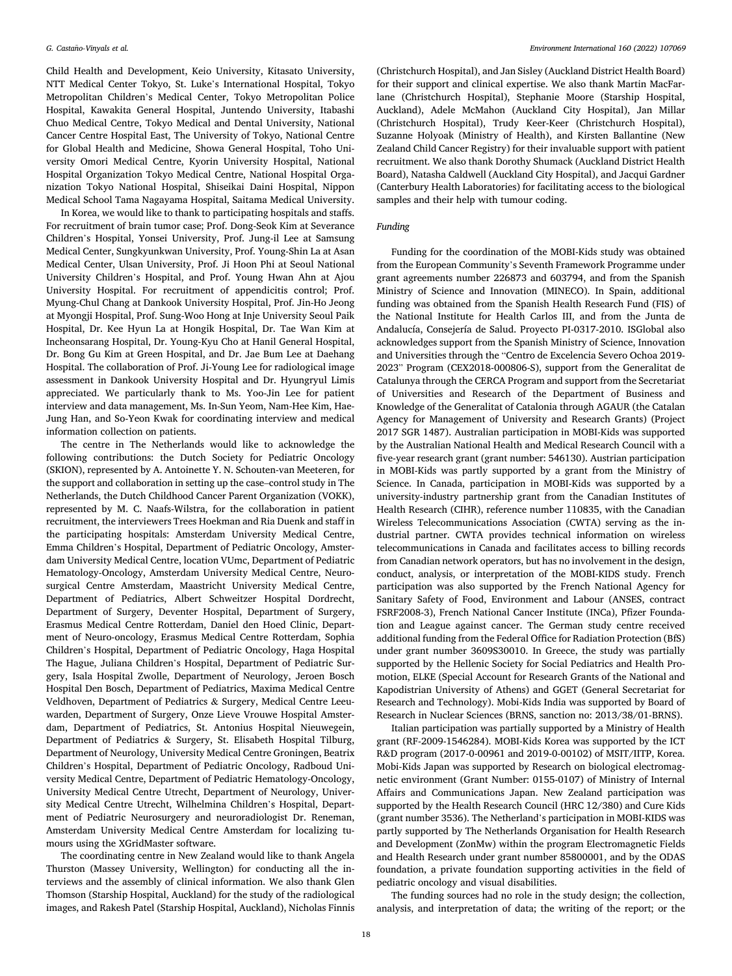Child Health and Development, Keio University, Kitasato University, NTT Medical Center Tokyo, St. Luke's International Hospital, Tokyo Metropolitan Children's Medical Center, Tokyo Metropolitan Police Hospital, Kawakita General Hospital, Juntendo University, Itabashi Chuo Medical Centre, Tokyo Medical and Dental University, National Cancer Centre Hospital East, The University of Tokyo, National Centre for Global Health and Medicine, Showa General Hospital, Toho University Omori Medical Centre, Kyorin University Hospital, National Hospital Organization Tokyo Medical Centre, National Hospital Organization Tokyo National Hospital, Shiseikai Daini Hospital, Nippon Medical School Tama Nagayama Hospital, Saitama Medical University.

In Korea, we would like to thank to participating hospitals and staffs. For recruitment of brain tumor case; Prof. Dong-Seok Kim at Severance Children's Hospital, Yonsei University, Prof. Jung-il Lee at Samsung Medical Center, Sungkyunkwan University, Prof. Young-Shin La at Asan Medical Center, Ulsan University, Prof. Ji Hoon Phi at Seoul National University Children's Hospital, and Prof. Young Hwan Ahn at Ajou University Hospital. For recruitment of appendicitis control; Prof. Myung-Chul Chang at Dankook University Hospital, Prof. Jin-Ho Jeong at Myongji Hospital, Prof. Sung-Woo Hong at Inje University Seoul Paik Hospital, Dr. Kee Hyun La at Hongik Hospital, Dr. Tae Wan Kim at Incheonsarang Hospital, Dr. Young-Kyu Cho at Hanil General Hospital, Dr. Bong Gu Kim at Green Hospital, and Dr. Jae Bum Lee at Daehang Hospital. The collaboration of Prof. Ji-Young Lee for radiological image assessment in Dankook University Hospital and Dr. Hyungryul Limis appreciated. We particularly thank to Ms. Yoo-Jin Lee for patient interview and data management, Ms. In-Sun Yeom, Nam-Hee Kim, Hae-Jung Han, and So-Yeon Kwak for coordinating interview and medical information collection on patients.

The centre in The Netherlands would like to acknowledge the following contributions: the Dutch Society for Pediatric Oncology (SKION), represented by A. Antoinette Y. N. Schouten-van Meeteren, for the support and collaboration in setting up the case–control study in The Netherlands, the Dutch Childhood Cancer Parent Organization (VOKK), represented by M. C. Naafs-Wilstra, for the collaboration in patient recruitment, the interviewers Trees Hoekman and Ria Duenk and staff in the participating hospitals: Amsterdam University Medical Centre, Emma Children's Hospital, Department of Pediatric Oncology, Amsterdam University Medical Centre, location VUmc, Department of Pediatric Hematology-Oncology, Amsterdam University Medical Centre, Neurosurgical Centre Amsterdam, Maastricht University Medical Centre, Department of Pediatrics, Albert Schweitzer Hospital Dordrecht, Department of Surgery, Deventer Hospital, Department of Surgery, Erasmus Medical Centre Rotterdam, Daniel den Hoed Clinic, Department of Neuro-oncology, Erasmus Medical Centre Rotterdam, Sophia Children's Hospital, Department of Pediatric Oncology, Haga Hospital The Hague, Juliana Children's Hospital, Department of Pediatric Surgery, Isala Hospital Zwolle, Department of Neurology, Jeroen Bosch Hospital Den Bosch, Department of Pediatrics, Maxima Medical Centre Veldhoven, Department of Pediatrics & Surgery, Medical Centre Leeuwarden, Department of Surgery, Onze Lieve Vrouwe Hospital Amsterdam, Department of Pediatrics, St. Antonius Hospital Nieuwegein, Department of Pediatrics & Surgery, St. Elisabeth Hospital Tilburg, Department of Neurology, University Medical Centre Groningen, Beatrix Children's Hospital, Department of Pediatric Oncology, Radboud University Medical Centre, Department of Pediatric Hematology-Oncology, University Medical Centre Utrecht, Department of Neurology, University Medical Centre Utrecht, Wilhelmina Children's Hospital, Department of Pediatric Neurosurgery and neuroradiologist Dr. Reneman, Amsterdam University Medical Centre Amsterdam for localizing tumours using the XGridMaster software.

The coordinating centre in New Zealand would like to thank Angela Thurston (Massey University, Wellington) for conducting all the interviews and the assembly of clinical information. We also thank Glen Thomson (Starship Hospital, Auckland) for the study of the radiological images, and Rakesh Patel (Starship Hospital, Auckland), Nicholas Finnis

(Christchurch Hospital), and Jan Sisley (Auckland District Health Board) for their support and clinical expertise. We also thank Martin MacFarlane (Christchurch Hospital), Stephanie Moore (Starship Hospital, Auckland), Adele McMahon (Auckland City Hospital), Jan Millar (Christchurch Hospital), Trudy Keer-Keer (Christchurch Hospital), Suzanne Holyoak (Ministry of Health), and Kirsten Ballantine (New Zealand Child Cancer Registry) for their invaluable support with patient recruitment. We also thank Dorothy Shumack (Auckland District Health Board), Natasha Caldwell (Auckland City Hospital), and Jacqui Gardner (Canterbury Health Laboratories) for facilitating access to the biological samples and their help with tumour coding.

## *Funding*

Funding for the coordination of the MOBI-Kids study was obtained from the European Community's Seventh Framework Programme under grant agreements number 226873 and 603794, and from the Spanish Ministry of Science and Innovation (MINECO). In Spain, additional funding was obtained from the Spanish Health Research Fund (FIS) of the National Institute for Health Carlos III, and from the Junta de Andalucía, Consejería de Salud. Proyecto PI-0317-2010. ISGlobal also acknowledges support from the Spanish Ministry of Science, Innovation and Universities through the "Centro de Excelencia Severo Ochoa 2019- 2023" Program (CEX2018-000806-S), support from the Generalitat de Catalunya through the CERCA Program and support from the Secretariat of Universities and Research of the Department of Business and Knowledge of the Generalitat of Catalonia through AGAUR (the Catalan Agency for Management of University and Research Grants) (Project 2017 SGR 1487). Australian participation in MOBI-Kids was supported by the Australian National Health and Medical Research Council with a five-year research grant (grant number: 546130). Austrian participation in MOBI-Kids was partly supported by a grant from the Ministry of Science. In Canada, participation in MOBI-Kids was supported by a university-industry partnership grant from the Canadian Institutes of Health Research (CIHR), reference number 110835, with the Canadian Wireless Telecommunications Association (CWTA) serving as the industrial partner. CWTA provides technical information on wireless telecommunications in Canada and facilitates access to billing records from Canadian network operators, but has no involvement in the design, conduct, analysis, or interpretation of the MOBI-KIDS study. French participation was also supported by the French National Agency for Sanitary Safety of Food, Environment and Labour (ANSES, contract FSRF2008-3), French National Cancer Institute (INCa), Pfizer Foundation and League against cancer. The German study centre received additional funding from the Federal Office for Radiation Protection (BfS) under grant number 3609S30010. In Greece, the study was partially supported by the Hellenic Society for Social Pediatrics and Health Promotion, ELKE (Special Account for Research Grants of the National and Kapodistrian University of Athens) and GGET (General Secretariat for Research and Technology). Mobi-Kids India was supported by Board of Research in Nuclear Sciences (BRNS, sanction no: 2013/38/01-BRNS).

Italian participation was partially supported by a Ministry of Health grant (RF-2009-1546284). MOBI-Kids Korea was supported by the ICT R&D program (2017-0-00961 and 2019-0-00102) of MSIT/IITP, Korea. Mobi-Kids Japan was supported by Research on biological electromagnetic environment (Grant Number: 0155-0107) of Ministry of Internal Affairs and Communications Japan. New Zealand participation was supported by the Health Research Council (HRC 12/380) and Cure Kids (grant number 3536). The Netherland's participation in MOBI-KIDS was partly supported by The Netherlands Organisation for Health Research and Development (ZonMw) within the program Electromagnetic Fields and Health Research under grant number 85800001, and by the ODAS foundation, a private foundation supporting activities in the field of pediatric oncology and visual disabilities.

The funding sources had no role in the study design; the collection, analysis, and interpretation of data; the writing of the report; or the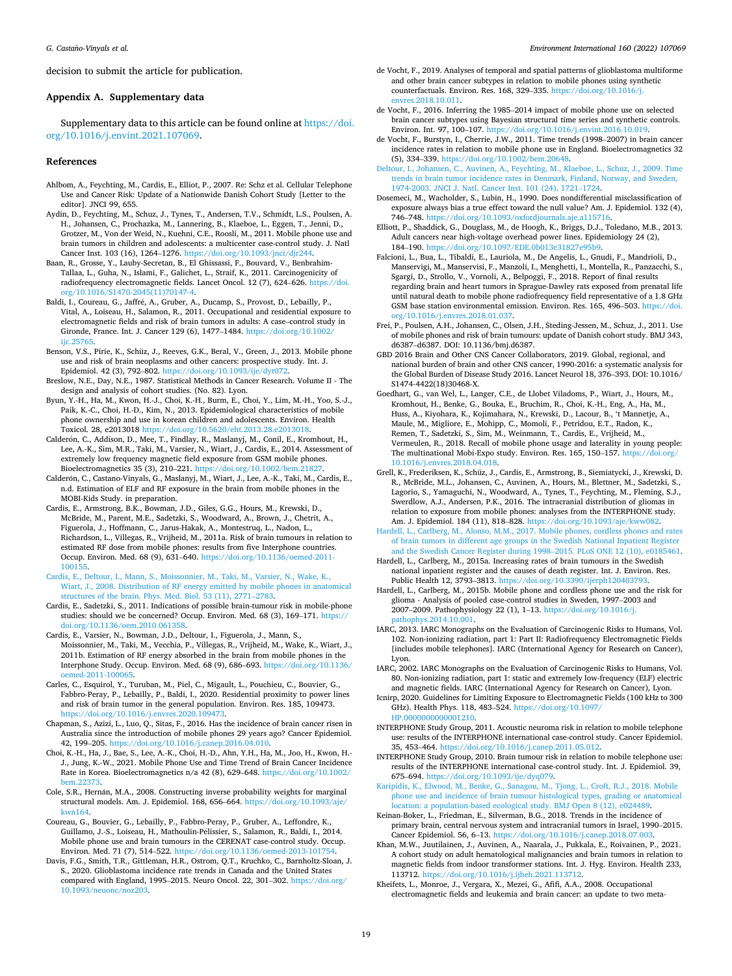<span id="page-18-0"></span>decision to submit the article for publication.

## **Appendix A. Supplementary data**

Supplementary data to this article can be found online at [https://doi.](https://doi.org/10.1016/j.envint.2021.107069)  [org/10.1016/j.envint.2021.107069](https://doi.org/10.1016/j.envint.2021.107069).

#### **References**

- Ahlbom, A., Feychting, M., Cardis, E., Elliot, P., 2007. Re: Schz et al. Cellular Telephone Use and Cancer Risk: Update of a Nationwide Danish Cohort Study [Letter to the editor]. JNCI 99, 655.
- Aydin, D., Feychting, M., Schuz, J., Tynes, T., Andersen, T.V., Schmidt, L.S., Poulsen, A. H., Johansen, C., Prochazka, M., Lannering, B., Klaeboe, L., Eggen, T., Jenni, D., Grotzer, M., Von der Weid, N., Kuehni, C.E., Roosli, M., 2011. Mobile phone use and brain tumors in children and adolescents: a multicenter case-control study. J. Natl Cancer Inst. 103 (16), 1264–1276. <https://doi.org/10.1093/jnci/djr244>.
- Baan, R., Grosse, Y., Lauby-Secretan, B., El Ghissassi, F., Bouvard, V., Benbrahim-Tallaa, L., Guha, N., Islami, F., Galichet, L., Straif, K., 2011. Carcinogenicity of radiofrequency electromagnetic fields. Lancet Oncol. 12 (7), 624–626. [https://doi.](https://doi.org/10.1016/S1470-2045(11)70147-4)  [org/10.1016/S1470-2045\(11\)70147-4](https://doi.org/10.1016/S1470-2045(11)70147-4).
- Baldi, I., Coureau, G., Jaffré, A., Gruber, A., Ducamp, S., Provost, D., Lebailly, P., Vital, A., Loiseau, H., Salamon, R., 2011. Occupational and residential exposure to electromagnetic fields and risk of brain tumors in adults: A case–control study in Gironde, France. Int. J. Cancer 129 (6), 1477–1484. [https://doi.org/10.1002/](https://doi.org/10.1002/ijc.25765) iic.25765
- Benson, V.S., Pirie, K., Schüz, J., Reeves, G.K., Beral, V., Green, J., 2013. Mobile phone use and risk of brain neoplasms and other cancers: prospective study. Int. J. Epidemiol. 42 (3), 792–802. https://doi.org/10.1093/ije/dyt07.
- Breslow, N.E., Day, N.E., 1987. Statistical Methods in Cancer Research. Volume II The design and analysis of cohort studies. (No. 82). Lyon.
- Byun, Y.-H., Ha, M., Kwon, H.-J., Choi, K.-H., Burm, E., Choi, Y., Lim, M.-H., Yoo, S.-J., Paik, K.-C., Choi, H.-D., Kim, N., 2013. Epidemiological characteristics of mobile phone ownership and use in korean children and adolescents. Environ. Health Toxicol. 28, e2013018 [https://doi.org/10.5620/eht.2013.28.e2013018.](https://doi.org/10.5620/eht.2013.28.e2013018)
- Calderón, C., Addison, D., Mee, T., Findlay, R., Maslanyj, M., Conil, E., Kromhout, H., Lee, A.-K., Sim, M.R., Taki, M., Varsier, N., Wiart, J., Cardis, E., 2014. Assessment of extremely low frequency magnetic field exposure from GSM mobile phones. Bioelectromagnetics 35 (3), 210–221. <https://doi.org/10.1002/bem.21827>.
- Calderón, C., Castano-Vinyals, G., Maslanyj, M., Wiart, J., Lee, A.-K., Taki, M., Cardis, E., n.d. Estimation of ELF and RF exposure in the brain from mobile phones in the MOBI-Kids Study. in preparation.
- Cardis, E., Armstrong, B.K., Bowman, J.D., Giles, G.G., Hours, M., Krewski, D., McBride, M., Parent, M.E., Sadetzki, S., Woodward, A., Brown, J., Chetrit, A., Figuerola, J., Hoffmann, C., Jarus-Hakak, A., Montestruq, L., Nadon, L., Richardson, L., Villegas, R., Vrijheid, M., 2011a. Risk of brain tumours in relation to estimated RF dose from mobile phones: results from five Interphone countries. Occup. Environ. Med. 68 (9), 631–640. [https://doi.org/10.1136/oemed-2011-](https://doi.org/10.1136/oemed-2011-100155)  [100155](https://doi.org/10.1136/oemed-2011-100155).
- [Cardis, E., Deltour, I., Mann, S., Moissonnier, M., Taki, M., Varsier, N., Wake, K.,](http://refhub.elsevier.com/S0160-4120(21)00694-2/h0055) [Wiart, J., 2008. Distribution of RF energy emitted by mobile phones in anatomical](http://refhub.elsevier.com/S0160-4120(21)00694-2/h0055) [structures of the brain. Phys. Med. Biol. 53 \(11\), 2771](http://refhub.elsevier.com/S0160-4120(21)00694-2/h0055)–2783.
- Cardis, E., Sadetzki, S., 2011. Indications of possible brain-tumour risk in mobile-phone studies: should we be concerned? Occup. Environ. Med. 68 (3), 169–171. [https://](https://doi.org/10.1136/oem.2010.061358)  [doi.org/10.1136/oem.2010.061358.](https://doi.org/10.1136/oem.2010.061358)
- Cardis, E., Varsier, N., Bowman, J.D., Deltour, I., Figuerola, J., Mann, S., Moissonnier, M., Taki, M., Vecchia, P., Villegas, R., Vrijheid, M., Wake, K., Wiart, J., 2011b. Estimation of RF energy absorbed in the brain from mobile phones in the Interphone Study. Occup. Environ. Med. 68 (9), 686–693. [https://doi.org/10.1136/](https://doi.org/10.1136/oemed-2011-100065)  [oemed-2011-100065](https://doi.org/10.1136/oemed-2011-100065).
- Carles, C., Esquirol, Y., Turuban, M., Piel, C., Migault, L., Pouchieu, C., Bouvier, G., Fabbro-Peray, P., Lebailly, P., Baldi, I., 2020. Residential proximity to power lines and risk of brain tumor in the general population. Environ. Res. 185, 109473. [https://doi.org/10.1016/j.envres.2020.109473.](https://doi.org/10.1016/j.envres.2020.109473)
- Chapman, S., Azizi, L., Luo, Q., Sitas, F., 2016. Has the incidence of brain cancer risen in Australia since the introduction of mobile phones 29 years ago? Cancer Epidemiol. 42, 199–205. [https://doi.org/10.1016/j.canep.2016.04.010.](https://doi.org/10.1016/j.canep.2016.04.010)
- Choi, K.-H., Ha, J., Bae, S., Lee, A.-K., Choi, H.-D., Ahn, Y.H., Ha, M., Joo, H., Kwon, H.- J., Jung, K.-W., 2021. Mobile Phone Use and Time Trend of Brain Cancer Incidence Rate in Korea. Bioelectromagnetics n/a 42 (8), 629–648. [https://doi.org/10.1002/](https://doi.org/10.1002/bem.22373) [bem.22373](https://doi.org/10.1002/bem.22373).
- Cole, S.R., Hernán, M.A., 2008. Constructing inverse probability weights for marginal structural models. Am. J. Epidemiol. 168, 656–664. [https://doi.org/10.1093/aje/](https://doi.org/10.1093/aje/kwn164)  [kwn164](https://doi.org/10.1093/aje/kwn164).
- Coureau, G., Bouvier, G., Lebailly, P., Fabbro-Peray, P., Gruber, A., Leffondre, K., Guillamo, J.-S., Loiseau, H., Mathoulin-Pélissier, S., Salamon, R., Baldi, I., 2014. Mobile phone use and brain tumours in the CERENAT case-control study. Occup. Environ. Med. 71 (7), 514–522. [https://doi.org/10.1136/oemed-2013-101754.](https://doi.org/10.1136/oemed-2013-101754)
- Davis, F.G., Smith, T.R., Gittleman, H.R., Ostrom, Q.T., Kruchko, C., Barnholtz-Sloan, J. S., 2020. Glioblastoma incidence rate trends in Canada and the United States compared with England, 1995–2015. Neuro Oncol. 22, 301–302. [https://doi.org/](https://doi.org/10.1093/neuonc/noz203) [10.1093/neuonc/noz203](https://doi.org/10.1093/neuonc/noz203).
- de Vocht, F., 2019. Analyses of temporal and spatial patterns of glioblastoma multiforme and other brain cancer subtypes in relation to mobile phones using synthetic counterfactuals. Environ. Res. 168, 329–335. [https://doi.org/10.1016/j.](https://doi.org/10.1016/j.envres.2018.10.011) [envres.2018.10.011](https://doi.org/10.1016/j.envres.2018.10.011).
- de Vocht, F., 2016. Inferring the 1985–2014 impact of mobile phone use on selected brain cancer subtypes using Bayesian structural time series and synthetic controls. Environ. Int. 97, 100–107. <https://doi.org/10.1016/j.envint.2016.10.019>.
- de Vocht, F., Burstyn, I., Cherrie, J.W., 2011. Time trends (1998–2007) in brain cancer incidence rates in relation to mobile phone use in England. Bioelectromagnetics 32 (5), 334–339.<https://doi.org/10.1002/bem.20648>.
- [Deltour, I., Johansen, C., Auvinen, A., Feychting, M., Klaeboe, L., Schuz, J., 2009. Time](http://refhub.elsevier.com/S0160-4120(21)00694-2/h0115)  [trends in brain tumor incidence rates in Denmark, Finland, Norway, and Sweden,](http://refhub.elsevier.com/S0160-4120(21)00694-2/h0115)  [1974-2003. JNCI J. Natl. Cancer Inst. 101 \(24\), 1721](http://refhub.elsevier.com/S0160-4120(21)00694-2/h0115)–1724.
- Dosemeci, M., Wacholder, S., Lubin, H., 1990. Does nondifferential misclassification of exposure always bias a true effect toward the null value? Am. J. Epidemiol. 132 (4), 746–748. [https://doi.org/10.1093/oxfordjournals.aje.a115716.](https://doi.org/10.1093/oxfordjournals.aje.a115716)
- Elliott, P., Shaddick, G., Douglass, M., de Hoogh, K., Briggs, D.J., Toledano, M.B., 2013. Adult cancers near high-voltage overhead power lines. Epidemiology 24 (2), 184–190. https://doi.org/10.1097/EDE.0b013e31827e9
- Falcioni, L., Bua, L., Tibaldi, E., Lauriola, M., De Angelis, L., Gnudi, F., Mandrioli, D., Manservigi, M., Manservisi, F., Manzoli, I., Menghetti, I., Montella, R., Panzacchi, S., Sgargi, D., Strollo, V., Vornoli, A., Belpoggi, F., 2018. Report of final results regarding brain and heart tumors in Sprague-Dawley rats exposed from prenatal life until natural death to mobile phone radiofrequency field representative of a 1.8 GHz GSM base station environmental emission. Environ. Res. 165, 496–503. [https://doi.](https://doi.org/10.1016/j.envres.2018.01.037)  [org/10.1016/j.envres.2018.01.037](https://doi.org/10.1016/j.envres.2018.01.037).
- Frei, P., Poulsen, A.H., Johansen, C., Olsen, J.H., Steding-Jessen, M., Schuz, J., 2011. Use of mobile phones and risk of brain tumours: update of Danish cohort study. BMJ 343, d6387–d6387. DOI: 10.1136/bmj.d6387.
- GBD 2016 Brain and Other CNS Cancer Collaborators, 2019. Global, regional, and national burden of brain and other CNS cancer, 1990-2016: a systematic analysis for the Global Burden of Disease Study 2016. Lancet Neurol 18, 376–393. DOI: 10.1016/ S1474-4422(18)30468-X.
- Goedhart, G., van Wel, L., Langer, C.E., de Llobet Viladoms, P., Wiart, J., Hours, M., Kromhout, H., Benke, G., Bouka, E., Bruchim, R., Choi, K.-H., Eng, A., Ha, M., Huss, A., Kiyohara, K., Kojimahara, N., Krewski, D., Lacour, B., 't Mannetje, A., Maule, M., Migliore, E., Mohipp, C., Momoli, F., Petridou, E.T., Radon, K., Remen, T., Sadetzki, S., Sim, M., Weinmann, T., Cardis, E., Vrijheid, M., Vermeulen, R., 2018. Recall of mobile phone usage and laterality in young people: The multinational Mobi-Expo study. Environ. Res. 165, 150-157. https://o [10.1016/j.envres.2018.04.018.](https://doi.org/10.1016/j.envres.2018.04.018)
- Grell, K., Frederiksen, K., Schüz, J., Cardis, E., Armstrong, B., Siemiatycki, J., Krewski, D. R., McBride, M.L., Johansen, C., Auvinen, A., Hours, M., Blettner, M., Sadetzki, S., Lagorio, S., Yamaguchi, N., Woodward, A., Tynes, T., Feychting, M., Fleming, S.J., Swerdlow, A.J., Andersen, P.K., 2016. The intracranial distribution of gliomas in relation to exposure from mobile phones: analyses from the INTERPHONE study. Am. J. Epidemiol. 184 (11), 818–828. <https://doi.org/10.1093/aje/kww082>.
- [Hardell, L., Carlberg, M., Alonso, M.M., 2017. Mobile phones, cordless phones and rates](http://refhub.elsevier.com/S0160-4120(21)00694-2/h0150)  [of brain tumors in different age groups in the Swedish National Inpatient Register](http://refhub.elsevier.com/S0160-4120(21)00694-2/h0150)  [and the Swedish Cancer Register during 1998](http://refhub.elsevier.com/S0160-4120(21)00694-2/h0150)–2015. PLoS ONE 12 (10), e0185461.
- Hardell, L., Carlberg, M., 2015a. Increasing rates of brain tumours in the Swedish national inpatient register and the causes of death register. Int. J. Environ. Res. Public Health 12, 3793–3813. [https://doi.org/10.3390/ijerph120403793.](https://doi.org/10.3390/ijerph120403793)
- Hardell, L., Carlberg, M., 2015b. Mobile phone and cordless phone use and the risk for glioma - Analysis of pooled case-control studies in Sweden, 1997–2003 and 2007–2009. Pathophysiology 22 (1), 1–13. [https://doi.org/10.1016/j.](https://doi.org/10.1016/j.pathophys.2014.10.001) [pathophys.2014.10.001](https://doi.org/10.1016/j.pathophys.2014.10.001).
- IARC, 2013. IARC Monographs on the Evaluation of Carcinogenic Risks to Humans, Vol. 102. Non-ionizing radiation, part 1: Part II: Radiofrequency Electromagnetic Fields [includes mobile telephones]. IARC (International Agency for Research on Cancer), Lyon.
- IARC, 2002. IARC Monographs on the Evaluation of Carcinogenic Risks to Humans, Vol. 80. Non-ionizing radiation, part 1: static and extremely low-frequency (ELF) electric and magnetic fields. IARC (International Agency for Research on Cancer), Lyon.
- Icnirp, 2020. Guidelines for Limiting Exposure to Electromagnetic Fields (100 kHz to 300 GHz). Health Phys. 118, 483–524. [https://doi.org/10.1097/](https://doi.org/10.1097/HP.0000000000001210) [HP.0000000000001210](https://doi.org/10.1097/HP.0000000000001210).
- INTERPHONE Study Group, 2011. Acoustic neuroma risk in relation to mobile telephone use: results of the INTERPHONE international case-control study. Cancer Epidemiol. 35, 453–464. [https://doi.org/10.1016/j.canep.2011.05.012.](https://doi.org/10.1016/j.canep.2011.05.012)
- INTERPHONE Study Group, 2010. Brain tumour risk in relation to mobile telephone use: results of the INTERPHONE international case-control study. Int. J. Epidemiol. 39, 675–694. <https://doi.org/10.1093/ije/dyq079>.
- [Karipidis, K., Elwood, M., Benke, G., Sanagou, M., Tjong, L., Croft, R.J., 2018. Mobile](http://refhub.elsevier.com/S0160-4120(21)00694-2/h0190)  [phone use and incidence of brain tumour histological types, grading or anatomical](http://refhub.elsevier.com/S0160-4120(21)00694-2/h0190)  [location: a population-based ecological study. BMJ Open 8 \(12\), e024489.](http://refhub.elsevier.com/S0160-4120(21)00694-2/h0190)
- Keinan-Boker, L., Friedman, E., Silverman, B.G., 2018. Trends in the incidence of primary brain, central nervous system and intracranial tumors in Israel, 1990–2015. Cancer Epidemiol. 56, 6–13. <https://doi.org/10.1016/j.canep.2018.07.003>.
- Khan, M.W., Juutilainen, J., Auvinen, A., Naarala, J., Pukkala, E., Roivainen, P., 2021. A cohort study on adult hematological malignancies and brain tumors in relation to magnetic fields from indoor transformer stations. Int. J. Hyg. Environ. Health 233, 113712. <https://doi.org/10.1016/j.ijheh.2021.113712>.
- Kheifets, L., Monroe, J., Vergara, X., Mezei, G., Afifi, A.A., 2008. Occupational electromagnetic fields and leukemia and brain cancer: an update to two meta-